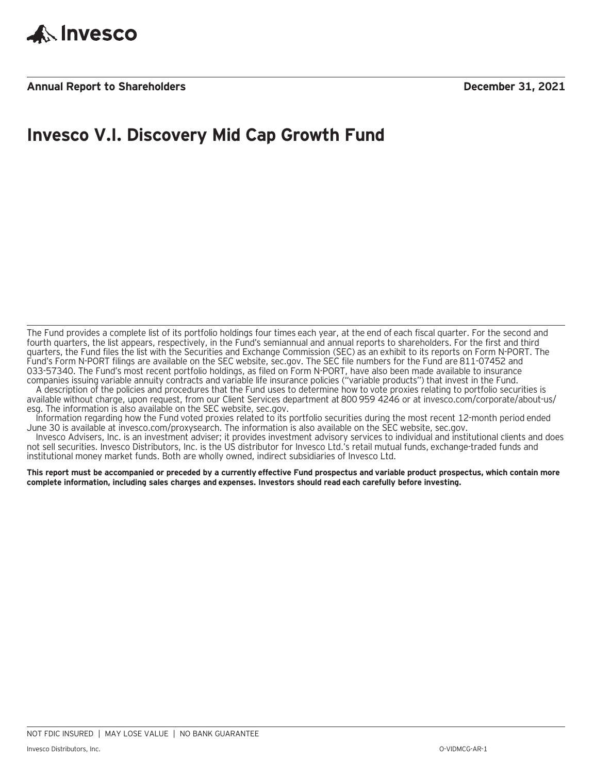

**Annual Report to Shareholders December 31, 2021**

# **Invesco V.I. Discovery Mid Cap Growth Fund**

The Fund provides a complete list of its portfolio holdings four times each year, at the end of each fiscal quarter. For the second and fourth quarters, the list appears, respectively, in the Fund's semiannual and annual reports to shareholders. For the first and third quarters, the Fund files the list with the Securities and Exchange Commission (SEC) as an exhibit to its reports on Form N-PORT. The Fund's Form N-PORT filings are available on the SEC website, sec.gov. The SEC file numbers for the Fund are 811-07452 and 033-57340. The Fund's most recent portfolio holdings, as filed on Form N-PORT, have also been made available to insurance companies issuing variable annuity contracts and variable life insurance policies ("variable products") that invest in the Fund.

A description of the policies and procedures that the Fund uses to determine how to vote proxies relating to portfolio securities is available without charge, upon request, from our Client Services department at 800 959 4246 or at invesco.com/corporate/about-us/ esg. The information is also available on the SEC website, sec.gov.

Information regarding how the Fund voted proxies related to its portfolio securities during the most recent 12-month period ended June 30 is available at invesco.com/proxysearch. The information is also available on the SEC website, sec.gov.

Invesco Advisers, Inc. is an investment adviser; it provides investment advisory services to individual and institutional clients and does not sell securities. Invesco Distributors, Inc. is the US distributor for Invesco Ltd.'s retail mutual funds, exchange-traded funds and institutional money market funds. Both are wholly owned, indirect subsidiaries of Invesco Ltd.

**This report must be accompanied or preceded by a currently effective Fund prospectus and variable product prospectus, which contain more complete information, including sales charges and expenses. Investors should read each carefully before investing.**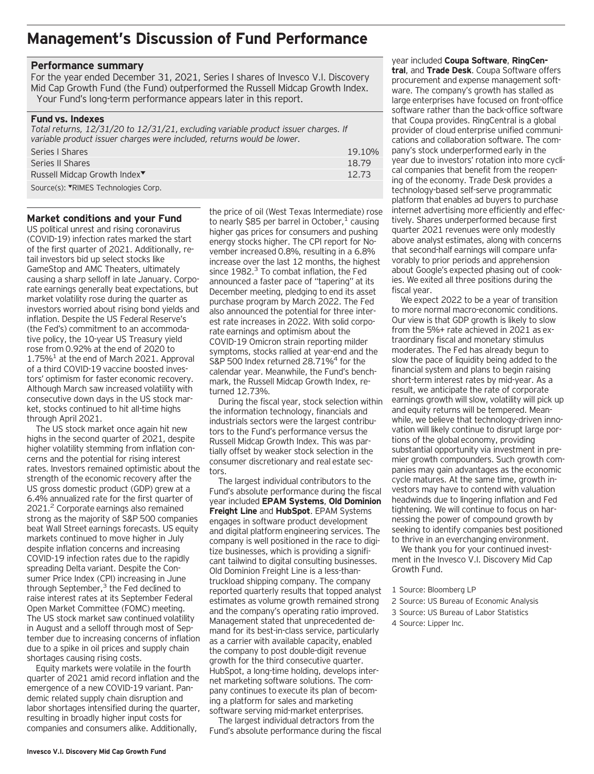### **Management's Discussion of Fund Performance**

#### **Performance summary**

For the year ended December 31, 2021, Series I shares of Invesco V.I. Discovery Mid Cap Growth Fund (the Fund) outperformed the Russell Midcap Growth Index. Your Fund's long-term performance appears later in this report.

#### **Fund vs. Indexes**

*Total returns, 12/31/20 to 12/31/21, excluding variable product issuer charges. If variable product issuer charges were included, returns would be lower.* Series I Shares 19.10% and the state of the state of the state of the state of the state of the state of the state of the state of the state of the state of the state of the state of the state of the state of the state of Series II Shares 18.79 12.73

Russell Midcap Growth Index<sup>▼</sup> Source(s): VRIMES Technologies Corp.

#### **Market conditions and your Fund**

US political unrest and rising coronavirus (COVID-19) infection rates marked the start of the first quarter of 2021. Additionally, retail investors bid up select stocks like GameStop and AMC Theaters, ultimately causing a sharp selloff in late January. Corporate earnings generally beat expectations, but market volatility rose during the quarter as investors worried about rising bond yields and inflation. Despite the US Federal Reserve's (the Fed's) commitment to an accommodative policy, the 10-year US Treasury yield rose from 0.92% at the end of 2020 to  $1.75\%$ <sup>1</sup> at the end of March 2021. Approval of a third COVID-19 vaccine boosted investors' optimism for faster economic recovery. Although March saw increased volatility with consecutive down days in the US stock market, stocks continued to hit all-time highs through April 2021.

The US stock market once again hit new highs in the second quarter of 2021, despite higher volatility stemming from inflation concerns and the potential for rising interest rates. Investors remained optimistic about the strength of the economic recovery after the US gross domestic product (GDP) grew at a 6.4% annualized rate for the first quarter of 2021.2 Corporate earnings also remained strong as the majority of S&P 500 companies beat Wall Street earnings forecasts. US equity markets continued to move higher in July despite inflation concerns and increasing COVID-19 infection rates due to the rapidly spreading Delta variant. Despite the Consumer Price Index (CPI) increasing in June through September, $3$  the Fed declined to raise interest rates at its September Federal Open Market Committee (FOMC) meeting. The US stock market saw continued volatility in August and a selloff through most of September due to increasing concerns of inflation due to a spike in oil prices and supply chain shortages causing rising costs.

Equity markets were volatile in the fourth quarter of 2021 amid record inflation and the emergence of a new COVID-19 variant. Pandemic related supply chain disruption and labor shortages intensified during the quarter, resulting in broadly higher input costs for companies and consumers alike. Additionally,

the price of oil (West Texas Intermediate) rose to nearly \$85 per barrel in October, $<sup>1</sup>$  causing</sup> higher gas prices for consumers and pushing energy stocks higher. The CPI report for November increased 0.8%, resulting in a 6.8% increase over the last 12 months, the highest since  $1982.<sup>3</sup>$  To combat inflation, the Fed announced a faster pace of "tapering" at its December meeting, pledging to end its asset purchase program by March 2022. The Fed also announced the potential for three interest rate increases in 2022. With solid corporate earnings and optimism about the COVID-19 Omicron strain reporting milder symptoms, stocks rallied at year-end and the S&P 500 Index returned 28.71%<sup>4</sup> for the calendar year. Meanwhile, the Fund's benchmark, the Russell Midcap Growth Index, returned 12.73%.

During the fiscal year, stock selection within the information technology, financials and industrials sectors were the largest contributors to the Fund's performance versus the Russell Midcap Growth Index. This was partially offset by weaker stock selection in the consumer discretionary and real estate sectors.

The largest individual contributors to the Fund's absolute performance during the fiscal year included **EPAM Systems**, **Old Dominion Freight Line** and **HubSpot**. EPAM Systems engages in software product development and digital platform engineering services. The company is well positioned in the race to digitize businesses, which is providing a significant tailwind to digital consulting businesses. Old Dominion Freight Line is a less-thantruckload shipping company. The company reported quarterly results that topped analyst estimates as volume growth remained strong and the company's operating ratio improved. Management stated that unprecedented demand for its best-in-class service, particularly as a carrier with available capacity, enabled the company to post double-digit revenue growth for the third consecutive quarter. HubSpot, a long-time holding, develops internet marketing software solutions. The company continues to execute its plan of becoming a platform for sales and marketing software serving mid-market enterprises.

The largest individual detractors from the Fund's absolute performance during the fiscal

year included **Coupa Software**, **RingCentral**, and **Trade Desk**. Coupa Software offers procurement and expense management software. The company's growth has stalled as large enterprises have focused on front-office software rather than the back-office software that Coupa provides. RingCentral is a global provider of cloud enterprise unified communications and collaboration software. The company's stock underperformed early in the year due to investors' rotation into more cyclical companies that benefit from the reopening of the economy. Trade Desk provides a technology-based self-serve programmatic platform that enables ad buyers to purchase internet advertising more efficiently and effectively. Shares underperformed because first quarter 2021 revenues were only modestly above analyst estimates, along with concerns that second-half earnings will compare unfavorably to prior periods and apprehension about Google's expected phasing out of cookies. We exited all three positions during the fiscal year.

We expect 2022 to be a year of transition to more normal macro-economic conditions. Our view is that GDP growth is likely to slow from the 5%+ rate achieved in 2021 as extraordinary fiscal and monetary stimulus moderates. The Fed has already begun to slow the pace of liquidity being added to the financial system and plans to begin raising short-term interest rates by mid-year. As a result, we anticipate the rate of corporate earnings growth will slow, volatility will pick up and equity returns will be tempered. Meanwhile, we believe that technology-driven innovation will likely continue to disrupt large portions of the global economy, providing substantial opportunity via investment in premier growth compounders. Such growth companies may gain advantages as the economic cycle matures. At the same time, growth investors may have to contend with valuation headwinds due to lingering inflation and Fed tightening. We will continue to focus on harnessing the power of compound growth by seeking to identify companies best positioned to thrive in an everchanging environment.

We thank you for your continued investment in the Invesco V.I. Discovery Mid Cap Growth Fund.

- 1 Source: Bloomberg LP
- 2 Source: US Bureau of Economic Analysis
- 3 Source: US Bureau of Labor Statistics
- 4 Source: Lipper Inc.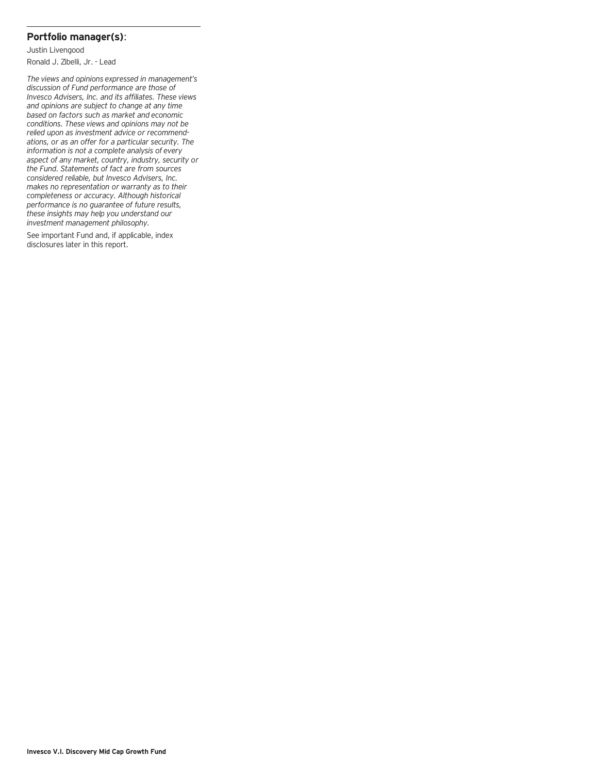### **Portfolio manager(s)**:

Justin Livengood Ronald J. Zibelli, Jr. - Lead

*The views and opinions expressed in management's discussion of Fund performance are those of Invesco Advisers, Inc. and its affiliates. These views and opinions are subject to change at any time based on factors such as market and economic conditions. These views and opinions may not be relied upon as investment advice or recommendations, or as an offer for a particular security. The information is not a complete analysis of every aspect of any market, country, industry, security or the Fund. Statements of fact are from sources considered reliable, but Invesco Advisers, Inc. makes no representation or warranty as to their completeness or accuracy. Although historical performance is no guarantee of future results, these insights may help you understand our investment management philosophy.*

See important Fund and, if applicable, index disclosures later in this report.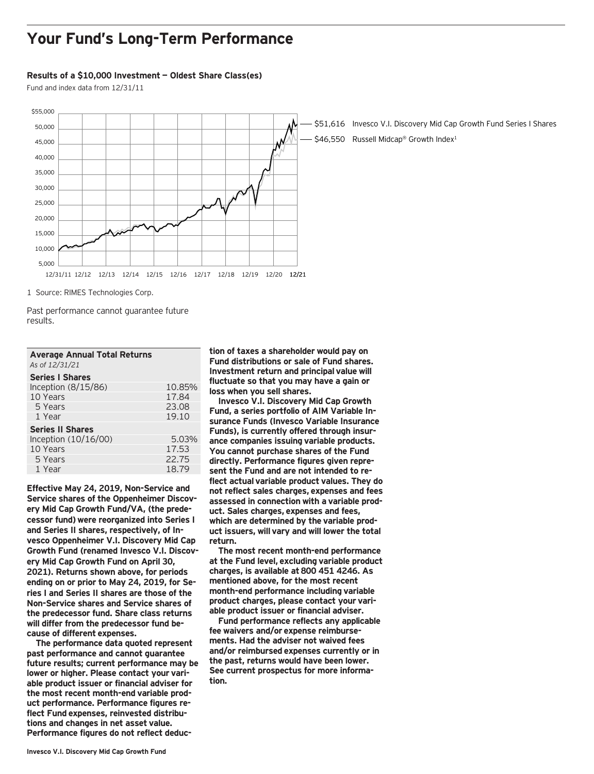### **Your Fund's Long-Term Performance**

#### **Results of a \$10,000 Investment — Oldest Share Class(es)**

Fund and index data from 12/31/11



1 Source: RIMES Technologies Corp.

Past performance cannot guarantee future results.

| <b>Average Annual Total Returns</b> |        |
|-------------------------------------|--------|
| As of 12/31/21                      |        |
| <b>Series   Shares</b>              |        |
| Inception $(8/15/86)$               | 10.85% |

| IILEPIIOII (O/L5/OO)    | $10.03\%$ |
|-------------------------|-----------|
| 10 Years                | 17.84     |
| 5 Years                 | 23.08     |
| 1 Year                  | 19.10     |
| <b>Series II Shares</b> |           |
| Inception $(10/16/00)$  | 5.03%     |
| 10 Years                | 17.53     |
| 5 Years                 | 22.75     |
| 1 Year                  | 18.79     |
|                         |           |

**Effective May 24, 2019, Non-Service and Service shares of the Oppenheimer Discovery Mid Cap Growth Fund/VA, (the predecessor fund) were reorganized into Series I and Series II shares, respectively, of Invesco Oppenheimer V.I. Discovery Mid Cap Growth Fund (renamed Invesco V.I. Discovery Mid Cap Growth Fund on April 30, 2021). Returns shown above, for periods ending on or prior to May 24, 2019, for Series I and Series II shares are those of the Non-Service shares and Service shares of the predecessor fund. Share class returns will differ from the predecessor fund because of different expenses.**

**The performance data quoted represent past performance and cannot guarantee future results; current performance may be lower or higher. Please contact your variable product issuer or financial adviser for the most recent month-end variable product performance. Performance figures reflect Fund expenses, reinvested distributions and changes in net asset value. Performance figures do not reflect deduc-**

**tion of taxes a shareholder would pay on Fund distributions or sale of Fund shares. Investment return and principal value will fluctuate so that you may have a gain or loss when you sell shares.**

**Invesco V.I. Discovery Mid Cap Growth Fund, a series portfolio of AIM Variable Insurance Funds (Invesco Variable Insurance Funds), is currently offered through insurance companies issuing variable products. You cannot purchase shares of the Fund directly. Performance figures given represent the Fund and are not intended to reflect actual variable product values. They do not reflect sales charges, expenses and fees assessed in connection with a variable product. Sales charges, expenses and fees, which are determined by the variable product issuers, will vary and will lower the total return.**

**The most recent month-end performance at the Fund level, excluding variable product charges, is available at 800 451 4246. As mentioned above, for the most recent month-end performance including variable product charges, please contact your variable product issuer or financial adviser.**

**Fund performance reflects any applicable fee waivers and/or expense reimbursements. Had the adviser not waived fees and/or reimbursed expenses currently or in the past, returns would have been lower. See current prospectus for more information.**

\$51,616 Invesco V.I. Discovery Mid Cap Growth Fund Series I Shares \$46,550 Russell Midcap® Growth Index<sup>1</sup>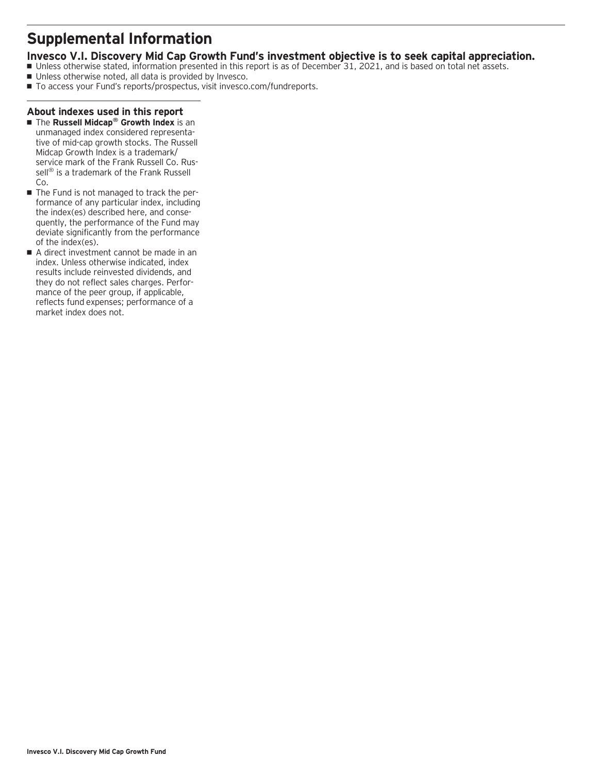### **Supplemental Information**

### **Invesco V.I. Discovery Mid Cap Growth Fund's investment objective is to seek capital appreciation.**

- Unless otherwise stated, information presented in this report is as of December 31, 2021, and is based on total net assets.
- Unless otherwise noted, all data is provided by Invesco.
- To access your Fund's reports/prospectus, visit invesco.com/fundreports.

### **About indexes used in this report**

- The **Russell Midcap<sup>®</sup> Growth Index** is an unmanaged index considered representative of mid-cap growth stocks. The Russell Midcap Growth Index is a trademark/ service mark of the Frank Russell Co. Russell<sup>®</sup> is a trademark of the Frank Russell Co.
- The Fund is not managed to track the performance of any particular index, including the index(es) described here, and consequently, the performance of the Fund may deviate significantly from the performance of the index(es).
- A direct investment cannot be made in an index. Unless otherwise indicated, index results include reinvested dividends, and they do not reflect sales charges. Performance of the peer group, if applicable, reflects fund expenses; performance of a market index does not.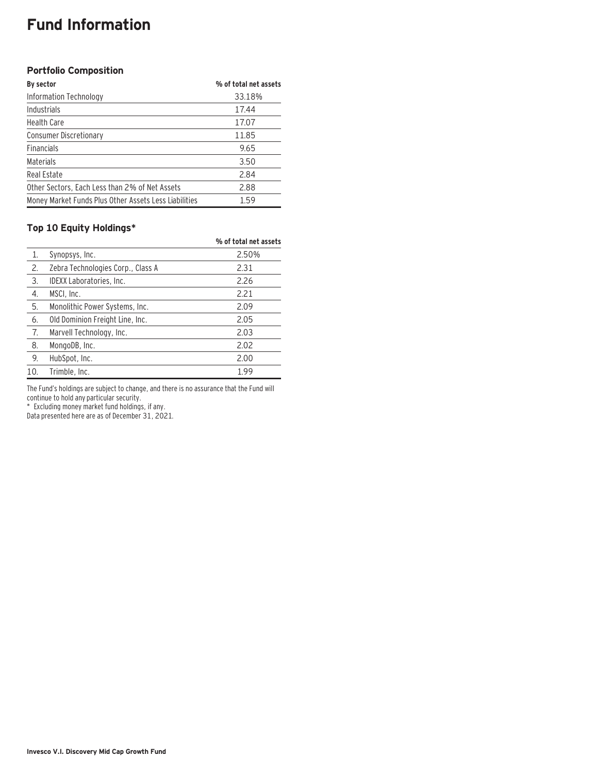### **Fund Information**

### **Portfolio Composition**

| By sector                                             | % of total net assets |
|-------------------------------------------------------|-----------------------|
| Information Technology                                | 33.18%                |
| Industrials                                           | 17.44                 |
| <b>Health Care</b>                                    | 17.07                 |
| Consumer Discretionary                                | 11.85                 |
| <b>Financials</b>                                     | 9.65                  |
| Materials                                             | 3.50                  |
| Real Estate                                           | 2.84                  |
| Other Sectors, Each Less than 2% of Net Assets        | 2.88                  |
| Money Market Funds Plus Other Assets Less Liabilities | 1.59                  |

### **Top 10 Equity Holdings\***

|     |                                   | % of total net assets |
|-----|-----------------------------------|-----------------------|
| 1.  | Synopsys, Inc.                    | 2.50%                 |
| 2.  | Zebra Technologies Corp., Class A | 2.31                  |
| 3.  | IDEXX Laboratories, Inc.          | 2.26                  |
| 4.  | MSCI, Inc.                        | 2.21                  |
| 5.  | Monolithic Power Systems, Inc.    | 2.09                  |
| 6.  | Old Dominion Freight Line, Inc.   | 2.05                  |
| 7.  | Marvell Technology, Inc.          | 2.03                  |
| 8.  | MongoDB, Inc.                     | 2.02                  |
| 9.  | HubSpot, Inc.                     | 2.00                  |
| 10. | Trimble, Inc.                     | 1.99                  |

The Fund's holdings are subject to change, and there is no assurance that the Fund will continue to hold any particular security.

\* Excluding money market fund holdings, if any.

Data presented here are as of December 31, 2021.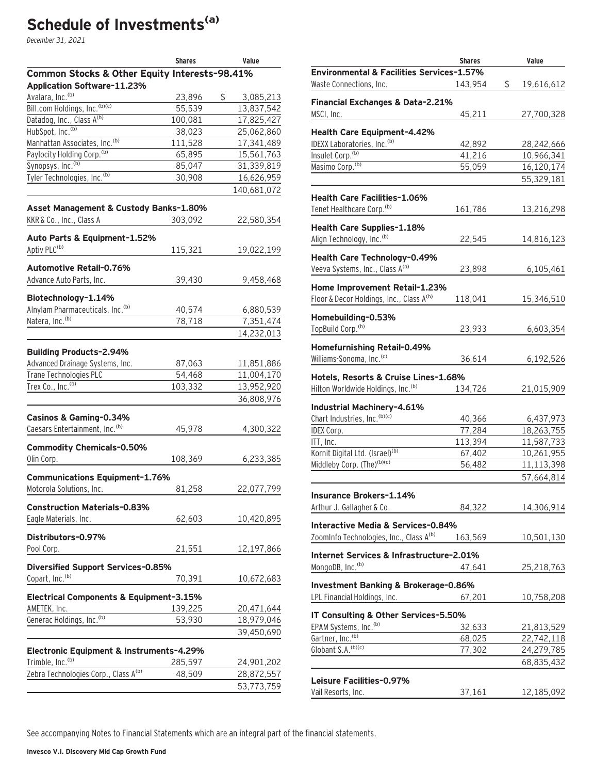# **Schedule of Investments(a)**

December 31, 2021

|                                                                          | <b>Shares</b> | Value           |
|--------------------------------------------------------------------------|---------------|-----------------|
| Common Stocks & Other Equity Interests-98.41%                            |               |                 |
| Application Software-11.23%                                              |               |                 |
| Avalara, Inc. <sup>(b)</sup>                                             | 23,896        | \$<br>3,085,213 |
| Bill.com Holdings, Inc. (b)(c)                                           | 55,539        | 13,837,542      |
| Datadog, Inc., Class A(b)                                                | 100,081       | 17,825,427      |
| HubSpot, Inc. <sup>(b)</sup>                                             | 38,023        | 25,062,860      |
| Manhattan Associates, Inc. <sup>(b)</sup>                                | 111,528       | 17,341,489      |
| Paylocity Holding Corp. <sup>(b)</sup>                                   | 65,895        | 15,561,763      |
| Synopsys, Inc. <sup>(b)</sup>                                            | 85,047        | 31,339,819      |
| Tyler Technologies, Inc. <sup>(b)</sup>                                  | 30,908        | 16,626,959      |
|                                                                          |               | 140,681,072     |
| Asset Management & Custody Banks-1.80%                                   |               |                 |
| KKR & Co., Inc., Class A                                                 | 303,092       | 22,580,354      |
| Auto Parts & Equipment-1.52%                                             |               |                 |
| Aptiv PLC <sup>(b)</sup>                                                 | 115,321       | 19,022,199      |
|                                                                          |               |                 |
| Automotive Retail-0.76%                                                  |               |                 |
| Advance Auto Parts, Inc.                                                 | 39,430        | 9,458,468       |
| Biotechnology-1.14%                                                      |               |                 |
| Alnylam Pharmaceuticals, Inc. <sup>(b)</sup>                             | 40,574        | 6,880,539       |
| Natera, Inc. <sup>(b)</sup>                                              | 78,718        | 7,351,474       |
|                                                                          |               | 14,232,013      |
|                                                                          |               |                 |
| <b>Building Products-2.94%</b>                                           |               |                 |
| Advanced Drainage Systems, Inc.                                          | 87,063        | 11,851,886      |
| Trane Technologies PLC                                                   | 54,468        | 11,004,170      |
| Trex Co., Inc. <sup>(b)</sup>                                            | 103,332       | 13,952,920      |
|                                                                          |               | 36,808,976      |
| Casinos & Gaming-0.34%                                                   |               |                 |
| Caesars Entertainment, Inc. <sup>(b)</sup>                               | 45,978        | 4,300,322       |
|                                                                          |               |                 |
| <b>Commodity Chemicals-0.50%</b>                                         |               |                 |
| Olin Corp.                                                               | 108,369       | 6,233,385       |
| <b>Communications Equipment-1.76%</b>                                    |               |                 |
| Motorola Solutions, Inc.                                                 | 81,258        | 22,077,799      |
|                                                                          |               |                 |
| <b>Construction Materials-0.83%</b>                                      |               |                 |
| Eagle Materials, Inc.                                                    | 62,603        | 10,420,895      |
| Distributors-0.97%                                                       |               |                 |
| Pool Corp.                                                               | 21,551        | 12,197,866      |
|                                                                          |               |                 |
| <b>Diversified Support Services-0.85%</b><br>Copart, Inc. <sup>(b)</sup> |               |                 |
|                                                                          | 70,391        | 10,672,683      |
| <b>Electrical Components &amp; Equipment-3.15%</b>                       |               |                 |
| AMETEK, Inc.                                                             | 139,225       | 20,471,644      |
| Generac Holdings, Inc. <sup>(b)</sup>                                    | 53,930        | 18,979,046      |
|                                                                          |               | 39,450,690      |
|                                                                          |               |                 |
| Electronic Equipment & Instruments-4.29%                                 |               |                 |
| Trimble, Inc. <sup>(b)</sup>                                             | 285,597       | 24,901,202      |
| Zebra Technologies Corp., Class A(b)                                     | 48,509        | 28,872,557      |
|                                                                          |               | 53,773,759      |

|                                                      | <b>Shares</b> | Value            |
|------------------------------------------------------|---------------|------------------|
| <b>Environmental &amp; Facilities Services-1.57%</b> |               |                  |
| Waste Connections, Inc.                              | 143,954       | \$<br>19,616,612 |
|                                                      |               |                  |
| <b>Financial Exchanges &amp; Data-2.21%</b>          |               |                  |
| MSCI, Inc.                                           | 45,211        | 27,700,328       |
| Health Care Equipment-4.42%                          |               |                  |
| IDEXX Laboratories, Inc. <sup>(b)</sup>              | 42,892        | 28,242,666       |
| Insulet Corp. <sup>(b)</sup>                         | 41,216        | 10,966,341       |
| Masimo Corp. <sup>(b)</sup>                          | 55,059        | 16,120,174       |
|                                                      |               | 55,329,181       |
|                                                      |               |                  |
| <b>Health Care Facilities-1.06%</b>                  |               |                  |
| Tenet Healthcare Corp. <sup>(b)</sup>                | 161,786       | 13,216,298       |
| <b>Health Care Supplies-1.18%</b>                    |               |                  |
| Align Technology, Inc. <sup>(b)</sup>                | 22,545        |                  |
|                                                      |               | 14,816,123       |
| Health Care Technology-0.49%                         |               |                  |
| Veeva Systems, Inc., Class A(b)                      | 23,898        | 6,105,461        |
|                                                      |               |                  |
| Home Improvement Retail-1.23%                        |               |                  |
| Floor & Decor Holdings, Inc., Class A <sup>(b)</sup> | 118,041       | 15,346,510       |
| Homebuilding-0.53%                                   |               |                  |
| TopBuild Corp. <sup>(b)</sup>                        | 23,933        | 6,603,354        |
|                                                      |               |                  |
| Homefurnishing Retail-0.49%                          |               |                  |
| Williams-Sonoma, Inc. <sup>(c)</sup>                 | 36,614        | 6,192,526        |
| Hotels, Resorts & Cruise Lines-1.68%                 |               |                  |
| Hilton Worldwide Holdings, Inc. <sup>(b)</sup>       | 134,726       | 21,015,909       |
|                                                      |               |                  |
| Industrial Machinery-4.61%                           |               |                  |
| Chart Industries, Inc. (b)(c)                        | 40,366        | 6,437,973        |
| IDEX Corp.                                           | 77,284        | 18,263,755       |
| ITT, Inc.                                            | 113,394       | 11,587,733       |
| Kornit Digital Ltd. (Israel) <sup>(b)</sup>          | 67,402        | 10,261,955       |
| Middleby Corp. (The) <sup>(b)(c)</sup>               | 56,482        | 11,113,398       |
|                                                      |               | 57,664,814       |
|                                                      |               |                  |
| Insurance Brokers-1.14%                              |               |                  |
| Arthur J. Gallagher & Co.                            | 84,322        | 14,306,914       |
| Interactive Media & Services-0.84%                   |               |                  |
| ZoomInfo Technologies, Inc., Class A <sup>(b)</sup>  | 163,569       | 10,501,130       |
|                                                      |               |                  |
| Internet Services & Infrastructure-2.01%             |               |                  |
| MongoDB, Inc. <sup>(b)</sup>                         | 47,641        | 25,218,763       |
| <b>Investment Banking &amp; Brokerage-0.86%</b>      |               |                  |
| LPL Financial Holdings, Inc.                         | 67,201        | 10,758,208       |
|                                                      |               |                  |
| IT Consulting & Other Services-5.50%                 |               |                  |
| EPAM Systems, Inc. <sup>(b)</sup>                    | 32,633        | 21,813,529       |
| Gartner, Inc. <sup>(b)</sup>                         | 68,025        | 22,742,118       |
| Globant S.A. (b)(c)                                  | 77,302        | 24,279,785       |
|                                                      |               | 68,835,432       |
|                                                      |               |                  |
| Leisure Facilities-0.97%                             |               |                  |
| Vail Resorts, Inc.                                   | 37,161        | 12,185,092       |

See accompanying Notes to Financial Statements which are an integral part of the financial statements.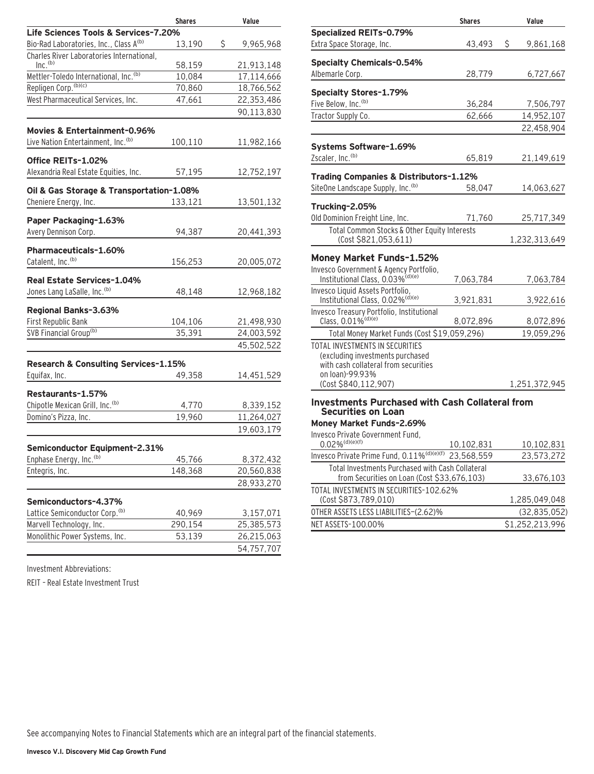|                                                   | <b>Shares</b> | Value           |
|---------------------------------------------------|---------------|-----------------|
| Life Sciences Tools & Services-7.20%              |               |                 |
| Bio-Rad Laboratories, Inc., Class A(b)            | 13,190        | \$<br>9,965,968 |
| Charles River Laboratories International,         |               |                 |
| Inc. <sup>(b)</sup>                               | 58,159        | 21,913,148      |
| Mettler-Toledo International, Inc. <sup>(b)</sup> | 10,084        | 17,114,666      |
| Repligen Corp. (b)(c)                             | 70,860        | 18,766,562      |
| West Pharmaceutical Services, Inc.                | 47,661        | 22,353,486      |
|                                                   |               | 90,113,830      |
| Movies & Entertainment-0.96%                      |               |                 |
| Live Nation Entertainment, Inc. <sup>(b)</sup>    | 100,110       | 11,982,166      |
|                                                   |               |                 |
| Office REITs-1.02%                                |               |                 |
| Alexandria Real Estate Equities, Inc.             | 57,195        | 12,752,197      |
| Oil & Gas Storage & Transportation-1.08%          |               |                 |
| Cheniere Energy, Inc.                             | 133,121       | 13,501,132      |
| Paper Packaging-1.63%                             |               |                 |
| Avery Dennison Corp.                              | 94,387        | 20,441,393      |
|                                                   |               |                 |
| Pharmaceuticals-1.60%                             |               |                 |
| Catalent, Inc. <sup>(b)</sup>                     | 156,253       | 20,005,072      |
| Real Estate Services-1.04%                        |               |                 |
| Jones Lang LaSalle, Inc. (b)                      | 48,148        | 12,968,182      |
| Regional Banks-3.63%                              |               |                 |
| First Republic Bank                               | 104,106       | 21,498,930      |
| SVB Financial Group <sup>(b)</sup>                | 35,391        | 24,003,592      |
|                                                   |               |                 |
|                                                   |               | 45,502,522      |
| Research & Consulting Services-1.15%              |               |                 |
| Equifax, Inc.                                     | 49,358        | 14,451,529      |
| Restaurants-1.57%                                 |               |                 |
| Chipotle Mexican Grill, Inc. <sup>(b)</sup>       | 4,770         | 8,339,152       |
| Domino's Pizza, Inc.                              | 19,960        | 11,264,027      |
|                                                   |               | 19,603,179      |
|                                                   |               |                 |
| Semiconductor Equipment-2.31%                     |               |                 |
| Enphase Energy, Inc. <sup>(b)</sup>               | 45,766        | 8,372,432       |
| Entegris, Inc.                                    | 148,368       | 20,560,838      |
|                                                   |               | 28,933,270      |
| Semiconductors-4.37%                              |               |                 |
| Lattice Semiconductor Corp. <sup>(b)</sup>        | 40,969        | 3,157,071       |
| Marvell Technology, Inc.                          | 290,154       | 25,385,573      |
| Monolithic Power Systems, Inc.                    | 53,139        | 26,215,063      |
|                                                   |               | 54,757,707      |

Investment Abbreviations:

REIT – Real Estate Investment Trust

|                                                                                        | <b>Shares</b> | Value           |
|----------------------------------------------------------------------------------------|---------------|-----------------|
| <b>Specialized REITs-0.79%</b>                                                         |               |                 |
| Extra Space Storage, Inc.                                                              | 43,493        | \$<br>9,861,168 |
| <b>Specialty Chemicals-0.54%</b>                                                       |               |                 |
| Albemarle Corp.                                                                        | 28,779        | 6,727,667       |
| Specialty Stores-1.79%                                                                 |               |                 |
| Five Below, Inc. <sup>(b)</sup>                                                        | 36,284        | 7,506,797       |
| Tractor Supply Co.                                                                     | 62,666        | 14,952,107      |
|                                                                                        |               | 22,458,904      |
| Systems Software-1.69%                                                                 |               |                 |
| Zscaler, Inc. <sup>(b)</sup>                                                           | 65,819        | 21,149,619      |
| Trading Companies & Distributors-1.12%                                                 |               |                 |
| SiteOne Landscape Supply, Inc. <sup>(b)</sup>                                          | 58,047        | 14,063,627      |
| Trucking-2.05%                                                                         |               |                 |
| Old Dominion Freight Line, Inc.                                                        | 71,760        | 25,717,349      |
| Total Common Stocks & Other Equity Interests<br>(Cost \$821,053,611)                   |               | 1,232,313,649   |
|                                                                                        |               |                 |
| Money Market Funds-1.52%                                                               |               |                 |
| Invesco Government & Agency Portfolio,<br>Institutional Class, 0.03% <sup>(d)(e)</sup> | 7,063,784     | 7,063,784       |
| Invesco Liquid Assets Portfolio,                                                       |               |                 |
| Institutional Class, 0.02% <sup>(d)(e)</sup>                                           | 3,921,831     | 3,922,616       |
| Invesco Treasury Portfolio, Institutional                                              |               |                 |
| Class, $0.01\%$ <sup>(d)(e)</sup>                                                      | 8,072,896     | 8,072,896       |
| Total Money Market Funds (Cost \$19,059,296)                                           |               | 19,059,296      |
| TOTAL INVESTMENTS IN SECURITIES                                                        |               |                 |
| (excluding investments purchased<br>with cash collateral from securities               |               |                 |
| on loan)-99.93%                                                                        |               |                 |
| (Cost \$840,112,907)                                                                   |               | 1,251,372,945   |
| <b>Investments Purchased with Cash Collateral from</b>                                 |               |                 |
| <b>Securities on Loan</b>                                                              |               |                 |
| Money Market Funds-2.69%                                                               |               |                 |
| Invesco Private Government Fund.<br>$0.02\%$ <sup>(d)(e)(f)</sup>                      | 10.102.831    | 10.102.831      |

| $0.02\%$ <sup>(d)(e)(f)</sup>                                                                   | 10,102,831 | 10,102,831      |
|-------------------------------------------------------------------------------------------------|------------|-----------------|
| Invesco Private Prime Fund, 0.11% <sup>(d)(e)(f)</sup>                                          | 23,568,559 | 23,573,272      |
| Total Investments Purchased with Cash Collateral<br>from Securities on Loan (Cost \$33,676,103) |            | 33,676,103      |
| TOTAL INVESTMENTS IN SECURITIES-102.62%<br>(Cost \$873,789,010)                                 |            | 1.285.049.048   |
| OTHER ASSETS LESS LIABILITIES-(2.62)%                                                           |            | (32, 835, 052)  |
| NET ASSETS-100.00%                                                                              |            | \$1,252,213,996 |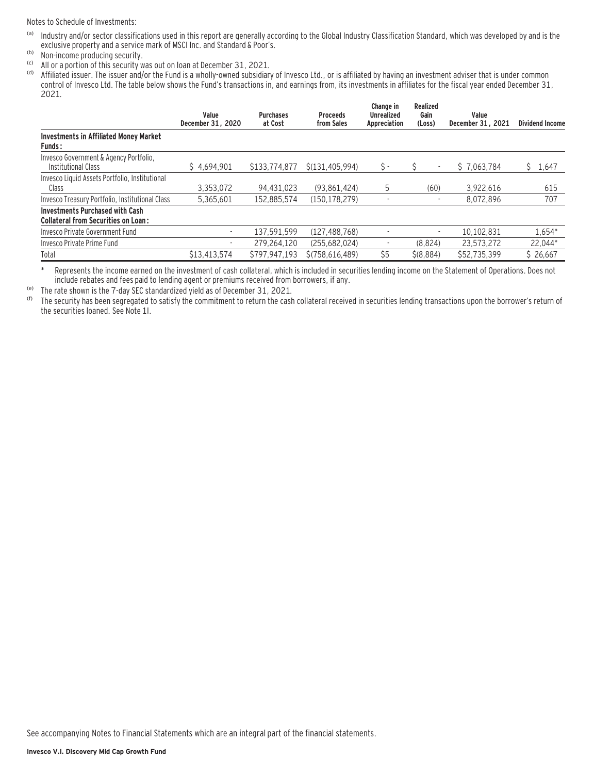Notes to Schedule of Investments:

- (a) Industry and/or sector classifications used in this report are generally according to the Global Industry Classification Standard, which was developed by and is the exclusive property and a service mark of MSCI Inc. and Standard & Poor's.
- (b) Non-income producing security.
- (c) All or a portion of this security was out on loan at December 31, 2021.
- Affiliated issuer. The issuer and/or the Fund is a wholly-owned subsidiary of Invesco Ltd., or is affiliated by having an investment adviser that is under common control of Invesco Ltd. The table below shows the Fund's transactions in, and earnings from, its investments in affiliates for the fiscal year ended December 31, 2021.

|                                                                                      | Value<br>December 31, 2020 | <b>Purchases</b><br>at Cost | <b>Proceeds</b><br>from Sales | Change in<br><b>Unrealized</b><br>Appreciation | Realized<br>Gain<br>(Loss) | Value<br>December 31, 2021 | <b>Dividend Income</b> |
|--------------------------------------------------------------------------------------|----------------------------|-----------------------------|-------------------------------|------------------------------------------------|----------------------------|----------------------------|------------------------|
| <b>Investments in Affiliated Money Market</b><br><b>Funds:</b>                       |                            |                             |                               |                                                |                            |                            |                        |
| Invesco Government & Agency Portfolio,<br>Institutional Class                        | \$4.694.901                | \$133,774,877               | \$(131.405.994)               | \$ -                                           |                            | \$7.063.784                | Ŝ<br>1,647             |
| Invesco Liquid Assets Portfolio, Institutional<br>Class                              | 3.353.072                  | 94.431.023                  | (93.861.424)                  | 5                                              | (60)                       | 3.922.616                  | 615                    |
| Invesco Treasury Portfolio, Institutional Class                                      | 5.365.601                  | 152.885.574                 | (150, 178, 279)               |                                                |                            | 8.072.896                  | 707                    |
| <b>Investments Purchased with Cash</b><br><b>Collateral from Securities on Loan:</b> |                            |                             |                               |                                                |                            |                            |                        |
| Invesco Private Government Fund                                                      | ٠                          | 137.591.599                 | (127.488.768)                 |                                                | ٠                          | 10.102.831                 | 1.654*                 |
| Invesco Private Prime Fund                                                           | ٠                          | 279.264.120                 | (255,682,024)                 |                                                | (8.824)                    | 23.573.272                 | 22,044*                |
| Total                                                                                | \$13,413,574               | \$797.947.193               | \$(758.616.489)               | \$5                                            | \$ (8,884)                 | \$52,735,399               | \$26,667               |

\* Represents the income earned on the investment of cash collateral, which is included in securities lending income on the Statement of Operations. Does not include rebates and fees paid to lending agent or premiums received from borrowers, if any.

(e) The rate shown is the 7-day SEC standardized yield as of December 31, 2021.

The security has been segregated to satisfy the commitment to return the cash collateral received in securities lending transactions upon the borrower's return of the securities loaned. See Note 1I.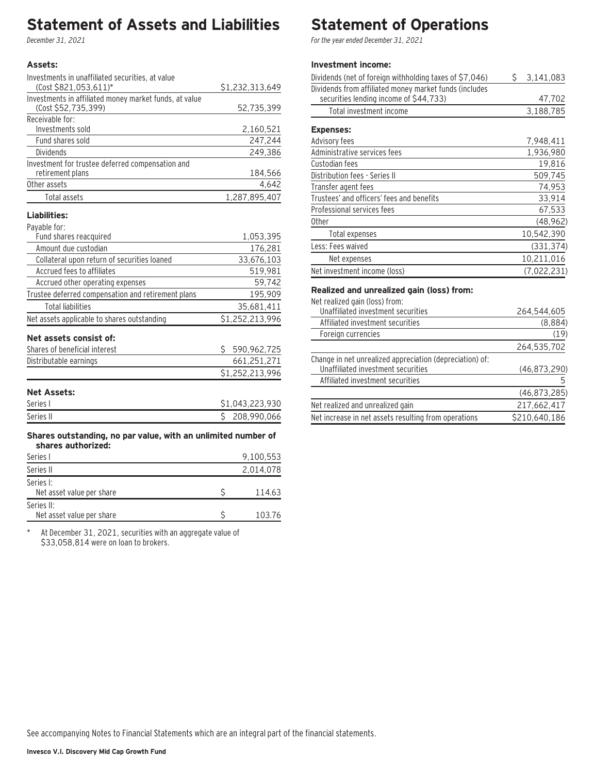### **Statement of Assets and Liabilities**

December 31, 2021

#### **Assets:**

| Investments in unaffiliated securities, at value       |                 |
|--------------------------------------------------------|-----------------|
| (Cost \$821,053,611)*                                  | \$1,232,313,649 |
| Investments in affiliated money market funds, at value |                 |
| (Cost \$52,735,399)                                    | 52,735,399      |
| Receivable for:                                        |                 |
| Investments sold                                       | 2,160,521       |
| Fund shares sold                                       | 247,244         |
| <b>Dividends</b>                                       | 249,386         |
| Investment for trustee deferred compensation and       |                 |
| retirement plans                                       | 184,566         |
| Other assets                                           | 4,642           |
| Total assets                                           | 1,287,895,407   |
|                                                        |                 |

### **Liabilities:**

| Payable for: |            |
|--------------|------------|
|              | Fund share |

| Fund shares reacquired                             |    | 1,053,395       |
|----------------------------------------------------|----|-----------------|
| Amount due custodian                               |    | 176.281         |
| Collateral upon return of securities loaned        |    | 33.676.103      |
| Accrued fees to affiliates                         |    | 519,981         |
| Accrued other operating expenses                   |    | 59,742          |
| Trustee deferred compensation and retirement plans |    | 195.909         |
| Total liabilities                                  |    | 35,681,411      |
| Net assets applicable to shares outstanding        |    | \$1,252,213,996 |
| Net assets consist of:                             |    |                 |
| Shares of beneficial interest                      | Ś. | 590,962,725     |
| Distributable earnings                             |    | 661,251,271     |
|                                                    |    | \$1,252,213,996 |
|                                                    |    |                 |

### **Net Assets:**

| Series i  | 043.223.930 |
|-----------|-------------|
| Series II | 208,990,066 |

#### **Shares outstanding, no par value, with an unlimited number of shares authorized:**

| Series I                                | 9,100,553 |
|-----------------------------------------|-----------|
| Series II                               | 2,014,078 |
| Series I:<br>Net asset value per share  | 114.63    |
| Series II:<br>Net asset value per share | 103.76    |

\* At December 31, 2021, securities with an aggregate value of \$33,058,814 were on loan to brokers.

# **Statement of Operations**

For the year ended December 31, 2021

### **Investment income:**

| Dividends (net of foreign withholding taxes of \$7,046)                                          | Ŝ. | 3,141,083   |
|--------------------------------------------------------------------------------------------------|----|-------------|
| Dividends from affiliated money market funds (includes<br>securities lending income of \$44,733) |    | 47,702      |
| Total investment income                                                                          |    | 3,188,785   |
| <b>Expenses:</b>                                                                                 |    |             |
| Advisory fees                                                                                    |    | 7,948,411   |
| Administrative services fees                                                                     |    | 1,936,980   |
| Custodian fees                                                                                   |    | 19.816      |
| Distribution fees - Series II                                                                    |    | 509,745     |
| Transfer agent fees                                                                              |    | 74,953      |
| Trustees' and officers' fees and benefits                                                        |    | 33,914      |
| Professional services fees                                                                       |    | 67,533      |
| 0ther                                                                                            |    | (48, 962)   |
| Total expenses                                                                                   |    | 10,542,390  |
| Less: Fees waived                                                                                |    | (331, 374)  |
| Net expenses                                                                                     |    | 10,211,016  |
| Net investment income (loss)                                                                     |    | (7,022,231) |
|                                                                                                  |    |             |

### **Realized and unrealized gain (loss) from:**

Net realized gain (loss) from:

| Unaffiliated investment securities                                                             | 264.544.605   |
|------------------------------------------------------------------------------------------------|---------------|
| Affiliated investment securities                                                               | (8,884)       |
| Foreign currencies                                                                             | (19)          |
|                                                                                                | 264,535,702   |
| Change in net unrealized appreciation (depreciation) of:<br>Unaffiliated investment securities | (46,873,290)  |
| Affiliated investment securities                                                               |               |
|                                                                                                | (46,873,285)  |
| Net realized and unrealized gain                                                               | 217,662,417   |
| Net increase in net assets resulting from operations                                           | \$210,640,186 |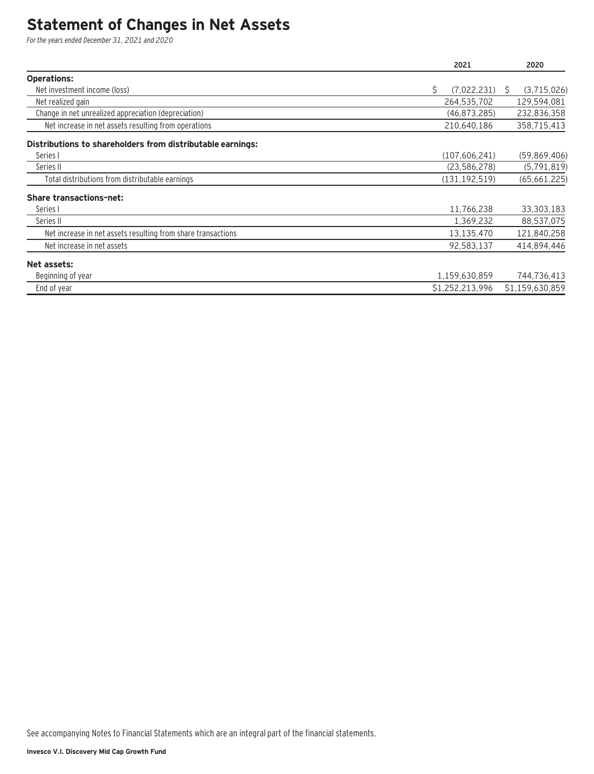### **Statement of Changes in Net Assets**

For the years ended December 31, 2021 and 2020

|                                                              | 2021              | 2020              |
|--------------------------------------------------------------|-------------------|-------------------|
| <b>Operations:</b>                                           |                   |                   |
| Net investment income (loss)                                 | Ś.<br>(7,022,231) | (3,715,026)<br>S. |
| Net realized gain                                            | 264,535,702       | 129,594,081       |
| Change in net unrealized appreciation (depreciation)         | (46, 873, 285)    | 232,836,358       |
| Net increase in net assets resulting from operations         | 210,640,186       | 358,715,413       |
| Distributions to shareholders from distributable earnings:   |                   |                   |
| Series I                                                     | (107, 606, 241)   | (59,869,406)      |
| Series II                                                    | (23, 586, 278)    | (5, 791, 819)     |
| Total distributions from distributable earnings              | (131, 192, 519)   | (65, 661, 225)    |
| <b>Share transactions-net:</b>                               |                   |                   |
| Series I                                                     | 11,766,238        | 33,303,183        |
| Series II                                                    | 1,369,232         | 88,537,075        |
| Net increase in net assets resulting from share transactions | 13,135,470        | 121,840,258       |
| Net increase in net assets                                   | 92,583,137        | 414,894,446       |
| Net assets:                                                  |                   |                   |
| Beginning of year                                            | 1,159,630,859     | 744,736,413       |
| End of year                                                  | \$1,252,213,996   | \$1,159,630,859   |

See accompanying Notes to Financial Statements which are an integral part of the financial statements.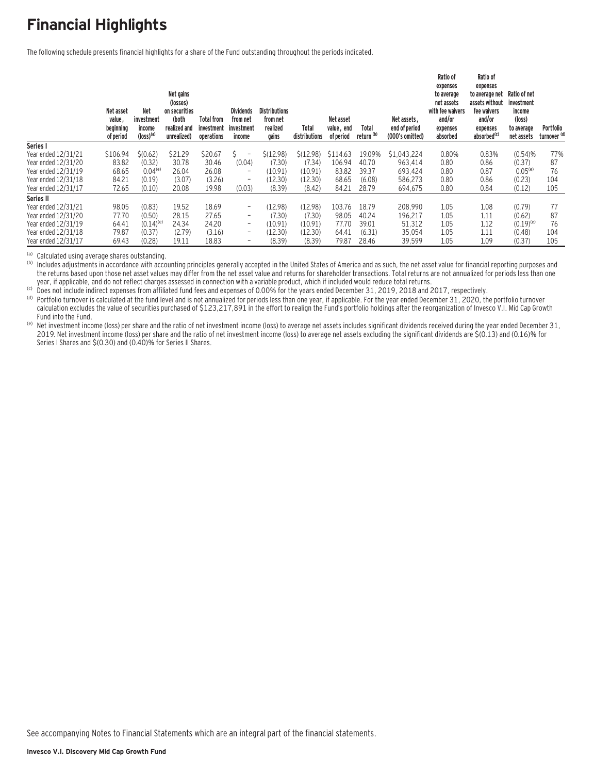# **Financial Highlights**

The following schedule presents financial highlights for a share of the Fund outstanding throughout the periods indicated.

|                     | Net asset<br>value,<br>beginning<br>of period | <b>Net</b><br>investment<br>income<br>$(logs)$ <sup>(a)</sup> | Net gains<br>(losses)<br>on securities<br>(both<br>realized and<br>unrealized) | <b>Total from</b><br>investment<br>operations | <b>Dividends</b><br>from net<br>investment<br>income | <b>Distributions</b><br>from net<br>realized<br>gains | Total<br>distributions | Net asset<br>value, end<br>of period | Total<br>return <sup>(b)</sup> | Net assets.<br>end of period<br>(000's omitted) | Ratio of<br>expenses<br>to average<br>net assets<br>with fee waivers<br>and/or<br>expenses<br>absorbed | Ratio of<br>expenses<br>to average net<br>assets without<br>fee waivers<br>and/or<br>expenses<br>absorbed <sup>(c)</sup> | Ratio of net<br>investment<br>income<br>(loss)<br>to average<br>net assets | Portfolio<br>turnover <sup>(d)</sup> |
|---------------------|-----------------------------------------------|---------------------------------------------------------------|--------------------------------------------------------------------------------|-----------------------------------------------|------------------------------------------------------|-------------------------------------------------------|------------------------|--------------------------------------|--------------------------------|-------------------------------------------------|--------------------------------------------------------------------------------------------------------|--------------------------------------------------------------------------------------------------------------------------|----------------------------------------------------------------------------|--------------------------------------|
| Series I            |                                               |                                                               |                                                                                |                                               |                                                      |                                                       |                        |                                      |                                |                                                 |                                                                                                        |                                                                                                                          |                                                                            |                                      |
| Year ended 12/31/21 | \$106.94                                      | \$(0.62)                                                      | \$21.29                                                                        | \$20.67                                       | $\qquad \qquad -$                                    | \$(12.98)                                             | \$(12.98)              | \$114.63                             | 19.09%                         | \$1.043.224                                     | 0.80%                                                                                                  | 0.83%                                                                                                                    | (0.54)%                                                                    | 77%                                  |
| Year ended 12/31/20 | 83.82                                         | (0.32)                                                        | 30.78                                                                          | 30.46                                         | (0.04)                                               | (7.30)                                                | (7.34)                 | 106.94                               | 40.70                          | 963.414                                         | 0.80                                                                                                   | 0.86                                                                                                                     | (0.37)                                                                     | 87                                   |
| Year ended 12/31/19 | 68.65                                         | $0.04($ e                                                     | 26.04                                                                          | 26.08                                         | $\qquad \qquad -$                                    | (10.91)                                               | (10.91)                | 83.82                                | 39.37                          | 693.424                                         | 0.80                                                                                                   | 0.87                                                                                                                     | $0.05^{(e)}$                                                               | 76                                   |
| Year ended 12/31/18 | 84.21                                         | (0.19)                                                        | (3.07)                                                                         | (3.26)                                        | $\overline{\phantom{a}}$                             | (12.30)                                               | (12.30)                | 68.65                                | (6.08)                         | 586.273                                         | 0.80                                                                                                   | 0.86                                                                                                                     | (0.23)                                                                     | 104                                  |
| Year ended 12/31/17 | 72.65                                         | (0.10)                                                        | 20.08                                                                          | 19.98                                         | (0.03)                                               | (8.39)                                                | (8.42)                 | 84.21                                | 28.79                          | 694,675                                         | 0.80                                                                                                   | 0.84                                                                                                                     | (0.12)                                                                     | 105                                  |
| Series II           |                                               |                                                               |                                                                                |                                               |                                                      |                                                       |                        |                                      |                                |                                                 |                                                                                                        |                                                                                                                          |                                                                            |                                      |
| Year ended 12/31/21 | 98.05                                         | (0.83)                                                        | 19.52                                                                          | 18.69                                         | $\overline{\phantom{0}}$                             | (12.98)                                               | (12.98)                | 103.76                               | 18.79                          | 208.990                                         | 1.05                                                                                                   | 1.08                                                                                                                     | (0.79)                                                                     | 77                                   |
| Year ended 12/31/20 | 77.70                                         | (0.50)                                                        | 28.15                                                                          | 27.65                                         | $\overline{\phantom{0}}$                             | (7.30)                                                | (7.30)                 | 98.05                                | 40.24                          | 196,217                                         | 1.05                                                                                                   | 1.11                                                                                                                     | (0.62)                                                                     | 87                                   |
| Year ended 12/31/19 | 64.41                                         | $(0.14)^{(e)}$                                                | 24.34                                                                          | 24.20                                         | -                                                    | (10.91)                                               | (10.91)                | 77.70                                | 39.01                          | 51,312                                          | 1.05                                                                                                   | 1.12                                                                                                                     | $(0.19)^{(e)}$                                                             | 76                                   |
| Year ended 12/31/18 | 79.87                                         | (0.37)                                                        | (2.79)                                                                         | (3.16)                                        | $\overline{\phantom{0}}$                             | (12.30)                                               | (12.30)                | 64.41                                | (6.31)                         | 35,054                                          | 1.05                                                                                                   | 1.11                                                                                                                     | (0.48)                                                                     | 104                                  |
| Year ended 12/31/17 | 69.43                                         | (0.28)                                                        | 19.11                                                                          | 18.83                                         |                                                      | (8.39)                                                | (8.39)                 | 79.87                                | 28.46                          | 39,599                                          | 1.05                                                                                                   | 1.09                                                                                                                     | (0.37)                                                                     | 105                                  |

(a) Calculated using average shares outstanding.<br>(b) Includes adjustments in accordance with accounting principles generally accepted in the United States of America and as such, the net asset value for financial reporting the returns based upon those net asset values may differ from the net asset value and returns for shareholder transactions. Total returns are not annualized for periods less than one vear, if applicable, and do not reflect

(c) Does not include indirect expenses from affiliated fund fees and expenses of 0.00% for the years ended December 31, 2019, 2018 and 2017, respectively.<br>(d) Portfolio turnover is calculated at the fund level and is not a calculation excludes the value of securities purchased of \$123,217,891 in the effort to realign the Fund's portfolio holdings after the reorganization of Invesco V.I. Mid Cap Growth<br>Fund into the Fund.

(e) Net investment income (loss) per share and the ratio of net investment income (loss) to average net assets includes significant dividends received during the year ended December 31, 2019. Net investment income (loss) per share and the ratio of net investment income (loss) to average net assets excluding the significant dividends are \$(0.13) and (0.16)% for Series I Shares and \$(0.30) and (0.40)% for Series II Shares.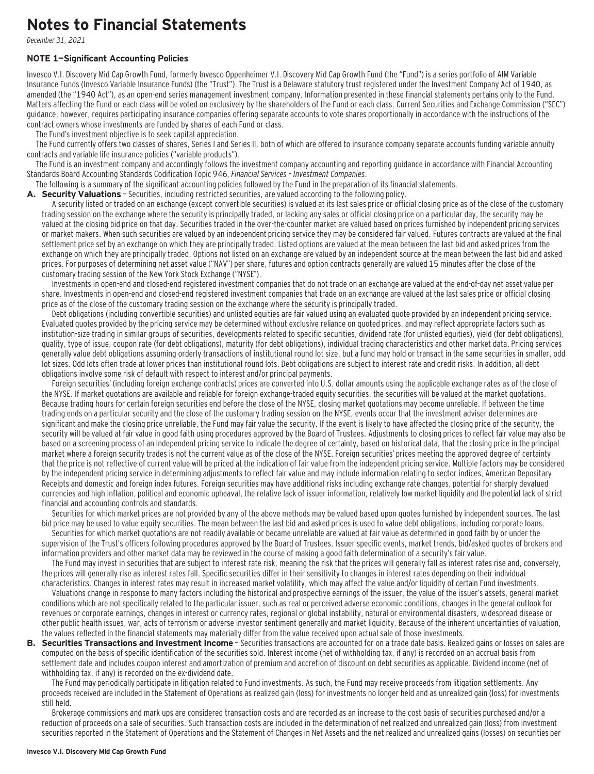### **Notes to Financial Statements**

December 31, 2021

#### **NOTE 1—Significant Accounting Policies**

Invesco V.I. Discovery Mid Cap Growth Fund, formerly Invesco Oppenheimer V.I. Discovery Mid Cap Growth Fund (the "Fund") is a series portfolio of AIM Variable Insurance Funds (Invesco Variable Insurance Funds) (the "Trust"). The Trust is a Delaware statutory trust registered under the Investment Company Act of 1940, as amended (the "1940 Act"), as an open-end series management investment company. Information presented in these financial statements pertains only to the Fund. Matters affecting the Fund or each class will be voted on exclusively by the shareholders of the Fund or each class. Current Securities and Exchange Commission ("SEC") guidance, however, requires participating insurance companies offering separate accounts to vote shares proportionally in accordance with the instructions of the contract owners whose investments are funded by shares of each Fund or class.

The Fund's investment objective is to seek capital appreciation.

The Fund currently offers two classes of shares, Series I and Series II, both of which are offered to insurance company separate accounts funding variable annuity contracts and variable life insurance policies ("variable products").

The Fund is an investment company and accordingly follows the investment company accounting and reporting guidance in accordance with Financial Accounting Standards Board Accounting Standards Codification Topic 946, Financial Services – Investment Companies.

The following is a summary of the significant accounting policies followed by the Fund in the preparation of its financial statements.

A. Security Valuations - Securities, including restricted securities, are valued according to the following policy.

A security listed or traded on an exchange (except convertible securities) is valued at its last sales price or official closing price as of the close of the customary trading session on the exchange where the security is principally traded, or lacking any sales or official closing price on a particular day, the security may be valued at the closing bid price on that day. Securities traded in the over-the-counter market are valued based on prices furnished by independent pricing services or market makers. When such securities are valued by an independent pricing service they may be considered fair valued. Futures contracts are valued at the final settlement price set by an exchange on which they are principally traded. Listed options are valued at the mean between the last bid and asked prices from the exchange on which they are principally traded. Options not listed on an exchange are valued by an independent source at the mean between the last bid and asked prices. For purposes of determining net asset value ("NAV") per share, futures and option contracts generally are valued 15 minutes after the close of the customary trading session of the New York Stock Exchange ("NYSE").

Investments in open-end and closed-end registered investment companies that do not trade on an exchange are valued at the end-of-day net asset value per share. Investments in open-end and closed-end registered investment companies that trade on an exchange are valued at the last sales price or official closing price as of the close of the customary trading session on the exchange where the security is principally traded.

Debt obligations (including convertible securities) and unlisted equities are fair valued using an evaluated quote provided by an independent pricing service. Evaluated quotes provided by the pricing service may be determined without exclusive reliance on quoted prices, and may reflect appropriate factors such as institution-size trading in similar groups of securities, developments related to specific securities, dividend rate (for unlisted equities), yield (for debt obligations), quality, type of issue, coupon rate (for debt obligations), maturity (for debt obligations), individual trading characteristics and other market data. Pricing services generally value debt obligations assuming orderly transactions of institutional round lot size, but a fund may hold or transact in the same securities in smaller, odd lot sizes. Odd lots often trade at lower prices than institutional round lots. Debt obligations are subject to interest rate and credit risks. In addition, all debt obligations involve some risk of default with respect to interest and/or principal payments.

Foreign securities' (including foreign exchange contracts) prices are converted into U.S. dollar amounts using the applicable exchange rates as of the close of the NYSE. If market quotations are available and reliable for foreign exchange-traded equity securities, the securities will be valued at the market quotations. Because trading hours for certain foreign securities end before the close of the NYSE, closing market quotations may become unreliable. If between the time trading ends on a particular security and the close of the customary trading session on the NYSE, events occur that the investment adviser determines are significant and make the closing price unreliable, the Fund may fair value the security. If the event is likely to have affected the closing price of the security, the security will be valued at fair value in good faith using procedures approved by the Board of Trustees. Adjustments to closing prices to reflect fair value may also be based on a screening process of an independent pricing service to indicate the degree of certainty, based on historical data, that the closing price in the principal market where a foreign security trades is not the current value as of the close of the NYSE. Foreign securities' prices meeting the approved degree of certainty that the price is not reflective of current value will be priced at the indication of fair value from the independent pricing service. Multiple factors may be considered by the independent pricing service in determining adjustments to reflect fair value and may include information relating to sector indices, American Depositary Receipts and domestic and foreign index futures. Foreign securities may have additional risks including exchange rate changes, potential for sharply devalued currencies and high inflation, political and economic upheaval, the relative lack of issuer information, relatively low market liquidity and the potential lack of strict financial and accounting controls and standards.

Securities for which market prices are not provided by any of the above methods may be valued based upon quotes furnished by independent sources. The last bid price may be used to value equity securities. The mean between the last bid and asked prices is used to value debt obligations, including corporate loans.

Securities for which market quotations are not readily available or became unreliable are valued at fair value as determined in good faith by or under the supervision of the Trust's officers following procedures approved by the Board of Trustees. Issuer specific events, market trends, bid/asked quotes of brokers and information providers and other market data may be reviewed in the course of making a good faith determination of a security's fair value.

The Fund may invest in securities that are subject to interest rate risk, meaning the risk that the prices will generally fall as interest rates rise and, conversely, the prices will generally rise as interest rates fall. Specific securities differ in their sensitivity to changes in interest rates depending on their individual characteristics. Changes in interest rates may result in increased market volatility, which may affect the value and/or liquidity of certain Fund investments.

Valuations change in response to many factors including the historical and prospective earnings of the issuer, the value of the issuer's assets, general market conditions which are not specifically related to the particular issuer, such as real or perceived adverse economic conditions, changes in the general outlook for revenues or corporate earnings, changes in interest or currency rates, regional or global instability, natural or environmental disasters, widespread disease or other public health issues, war, acts of terrorism or adverse investor sentiment generally and market liquidity. Because of the inherent uncertainties of valuation, the values reflected in the financial statements may materially differ from the value received upon actual sale of those investments.

**B. Securities Transactions and Investment Income** - Securities transactions are accounted for on a trade date basis. Realized gains or losses on sales are computed on the basis of specific identification of the securities sold. Interest income (net of withholding tax, if any) is recorded on an accrual basis from settlement date and includes coupon interest and amortization of premium and accretion of discount on debt securities as applicable. Dividend income (net of withholding tax, if any) is recorded on the ex-dividend date.

The Fund may periodically participate in litigation related to Fund investments. As such, the Fund may receive proceeds from litigation settlements. Any proceeds received are included in the Statement of Operations as realized gain (loss) for investments no longer held and as unrealized gain (loss) for investments still held.

Brokerage commissions and mark ups are considered transaction costs and are recorded as an increase to the cost basis of securities purchased and/or a reduction of proceeds on a sale of securities. Such transaction costs are included in the determination of net realized and unrealized gain (loss) from investment securities reported in the Statement of Operations and the Statement of Changes in Net Assets and the net realized and unrealized gains (losses) on securities per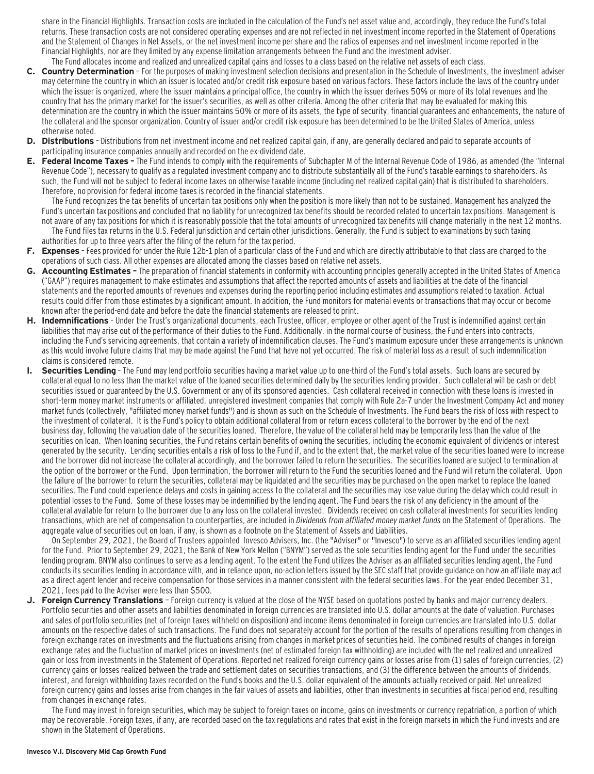share in the Financial Highlights. Transaction costs are included in the calculation of the Fund's net asset value and, accordingly, they reduce the Fund's total returns. These transaction costs are not considered operating expenses and are not reflected in net investment income reported in the Statement of Operations and the Statement of Changes in Net Assets, or the net investment income per share and the ratios of expenses and net investment income reported in the Financial Highlights, nor are they limited by any expense limitation arrangements between the Fund and the investment adviser.

- The Fund allocates income and realized and unrealized capital gains and losses to a class based on the relative net assets of each class. **C. Country Determination** — For the purposes of making investment selection decisions and presentation in the Schedule of Investments, the investment adviser may determine the country in which an issuer is located and/or credit risk exposure based on various factors. These factors include the laws of the country under which the issuer is organized, where the issuer maintains a principal office, the country in which the issuer derives 50% or more of its total revenues and the country that has the primary market for the issuer's securities, as well as other criteria. Among the other criteria that may be evaluated for making this determination are the country in which the issuer maintains 50% or more of its assets, the type of security, financial guarantees and enhancements, the nature of the collateral and the sponsor organization. Country of issuer and/or credit risk exposure has been determined to be the United States of America, unless otherwise noted.
- **D. Distributions**  Distributions from net investment income and net realized capital gain, if any, are generally declared and paid to separate accounts of participating insurance companies annually and recorded on the ex-dividend date.
- **E. Federal Income Taxes** The Fund intends to comply with the requirements of Subchapter M of the Internal Revenue Code of 1986, as amended (the "Internal Revenue Code"), necessary to qualify as a regulated investment company and to distribute substantially all of the Fund's taxable earnings to shareholders. As such, the Fund will not be subject to federal income taxes on otherwise taxable income (including net realized capital gain) that is distributed to shareholders. Therefore, no provision for federal income taxes is recorded in the financial statements.

The Fund recognizes the tax benefits of uncertain tax positions only when the position is more likely than not to be sustained. Management has analyzed the Fund's uncertain tax positions and concluded that no liability for unrecognized tax benefits should be recorded related to uncertain tax positions. Management is not aware of any tax positions for which it is reasonably possible that the total amounts of unrecognized tax benefits will change materially in the next 12 months. The Fund files tax returns in the U.S. Federal jurisdiction and certain other jurisdictions. Generally, the Fund is subject to examinations by such taxing authorities for up to three years after the filing of the return for the tax period.

- **F. Expenses**  Fees provided for under the Rule 12b-1 plan of a particular class of the Fund and which are directly attributable to that class are charged to the operations of such class. All other expenses are allocated among the classes based on relative net assets.
- **G. Accounting Estimates** The preparation of financial statements in conformity with accounting principles generally accepted in the United States of America ("GAAP") requires management to make estimates and assumptions that affect the reported amounts of assets and liabilities at the date of the financial statements and the reported amounts of revenues and expenses during the reporting period including estimates and assumptions related to taxation. Actual results could differ from those estimates by a significant amount. In addition, the Fund monitors for material events or transactions that may occur or become known after the period-end date and before the date the financial statements are released to print.
- **H. Indemnifications**  Under the Trust's organizational documents, each Trustee, officer, employee or other agent of the Trust is indemnified against certain liabilities that may arise out of the performance of their duties to the Fund. Additionally, in the normal course of business, the Fund enters into contracts, including the Fund's servicing agreements, that contain a variety of indemnification clauses. The Fund's maximum exposure under these arrangements is unknown as this would involve future claims that may be made against the Fund that have not yet occurred. The risk of material loss as a result of such indemnification claims is considered remote.
- **I. Securities Lending**  The Fund may lend portfolio securities having a market value up to one-third of the Fund's total assets. Such loans are secured by collateral equal to no less than the market value of the loaned securities determined daily by the securities lending provider. Such collateral will be cash or debt securities issued or guaranteed by the U.S. Government or any of its sponsored agencies. Cash collateral received in connection with these loans is invested in short-term money market instruments or affiliated, unregistered investment companies that comply with Rule 2a-7 under the Investment Company Act and money market funds (collectively, "affiliated money market funds") and is shown as such on the Schedule of Investments. The Fund bears the risk of loss with respect to the investment of collateral. It is the Fund's policy to obtain additional collateral from or return excess collateral to the borrower by the end of the next business day, following the valuation date of the securities loaned. Therefore, the value of the collateral held may be temporarily less than the value of the securities on loan. When loaning securities, the Fund retains certain benefits of owning the securities, including the economic equivalent of dividends or interest generated by the security. Lending securities entails a risk of loss to the Fund if, and to the extent that, the market value of the securities loaned were to increase and the borrower did not increase the collateral accordingly, and the borrower failed to return the securities. The securities loaned are subject to termination at the option of the borrower or the Fund. Upon termination, the borrower will return to the Fund the securities loaned and the Fund will return the collateral. Upon the failure of the borrower to return the securities, collateral may be liquidated and the securities may be purchased on the open market to replace the loaned securities. The Fund could experience delays and costs in gaining access to the collateral and the securities may lose value during the delay which could result in potential losses to the Fund. Some of these losses may be indemnified by the lending agent. The Fund bears the risk of any deficiency in the amount of the collateral available for return to the borrower due to any loss on the collateral invested. Dividends received on cash collateral investments for securities lending transactions, which are net of compensation to counterparties, are included in Dividends from affiliated money market funds on the Statement of Operations. The aggregate value of securities out on loan, if any, is shown as a footnote on the Statement of Assets and Liabilities.

On September 29, 2021, the Board of Trustees appointed Invesco Advisers, Inc. (the "Adviser" or "Invesco") to serve as an affiliated securities lending agent for the Fund. Prior to September 29, 2021, the Bank of New York Mellon ("BNYM") served as the sole securities lending agent for the Fund under the securities lending program. BNYM also continues to serve as a lending agent. To the extent the Fund utilizes the Adviser as an affiliated securities lending agent, the Fund conducts its securities lending in accordance with, and in reliance upon, no-action letters issued by the SEC staff that provide guidance on how an affiliate may act as a direct agent lender and receive compensation for those services in a manner consistent with the federal securities laws. For the year ended December 31, 2021, fees paid to the Adviser were less than \$500.

**J. Foreign Currency Translations** — Foreign currency is valued at the close of the NYSE based on quotations posted by banks and major currency dealers. Portfolio securities and other assets and liabilities denominated in foreign currencies are translated into U.S. dollar amounts at the date of valuation. Purchases and sales of portfolio securities (net of foreign taxes withheld on disposition) and income items denominated in foreign currencies are translated into U.S. dollar amounts on the respective dates of such transactions. The Fund does not separately account for the portion of the results of operations resulting from changes in foreign exchange rates on investments and the fluctuations arising from changes in market prices of securities held. The combined results of changes in foreign exchange rates and the fluctuation of market prices on investments (net of estimated foreign tax withholding) are included with the net realized and unrealized gain or loss from investments in the Statement of Operations. Reported net realized foreign currency gains or losses arise from (1) sales of foreign currencies, (2) currency gains or losses realized between the trade and settlement dates on securities transactions, and (3) the difference between the amounts of dividends, interest, and foreign withholding taxes recorded on the Fund's books and the U.S. dollar equivalent of the amounts actually received or paid. Net unrealized foreign currency gains and losses arise from changes in the fair values of assets and liabilities, other than investments in securities at fiscal period end, resulting from changes in exchange rates.

The Fund may invest in foreign securities, which may be subject to foreign taxes on income, gains on investments or currency repatriation, a portion of which may be recoverable. Foreign taxes, if any, are recorded based on the tax regulations and rates that exist in the foreign markets in which the Fund invests and are shown in the Statement of Operations.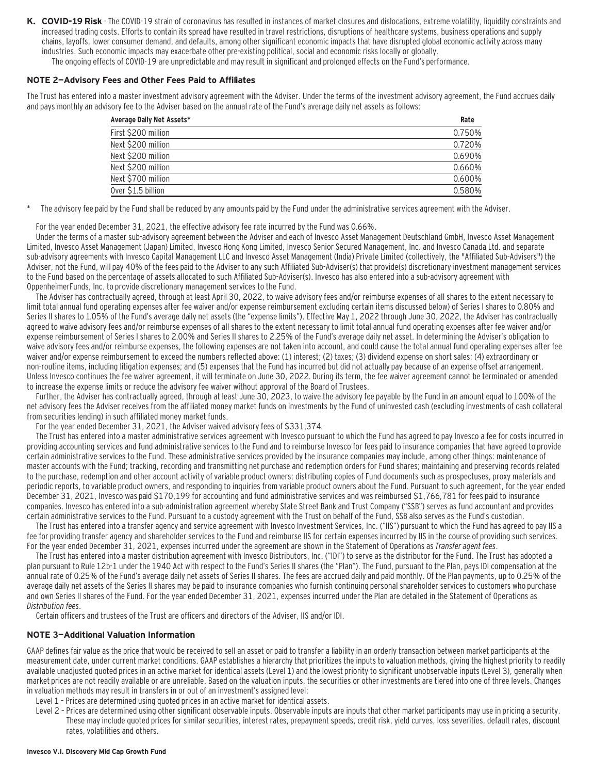- **K. COVID-19 Risk**  The COVID-19 strain of coronavirus has resulted in instances of market closures and dislocations, extreme volatility, liquidity constraints and increased trading costs. Efforts to contain its spread have resulted in travel restrictions, disruptions of healthcare systems, business operations and supply chains, layoffs, lower consumer demand, and defaults, among other significant economic impacts that have disrupted global economic activity across many industries. Such economic impacts may exacerbate other pre-existing political, social and economic risks locally or globally.
	- The ongoing effects of COVID-19 are unpredictable and may result in significant and prolonged effects on the Fund's performance.

### **NOTE 2—Advisory Fees and Other Fees Paid to Affiliates**

The Trust has entered into a master investment advisory agreement with the Adviser. Under the terms of the investment advisory agreement, the Fund accrues daily and pays monthly an advisory fee to the Adviser based on the annual rate of the Fund's average daily net assets as follows:

| First \$200 million<br>Next \$200 million<br>Next \$200 million<br>Next \$200 million<br>Next \$700 million<br>Over \$1.5 billion | Average Daily Net Assets* | Rate   |
|-----------------------------------------------------------------------------------------------------------------------------------|---------------------------|--------|
|                                                                                                                                   |                           | 0.750% |
|                                                                                                                                   |                           | 0.720% |
|                                                                                                                                   |                           | 0.690% |
|                                                                                                                                   |                           | 0.660% |
|                                                                                                                                   |                           | 0.600% |
|                                                                                                                                   |                           | 0.580% |

The advisory fee paid by the Fund shall be reduced by any amounts paid by the Fund under the administrative services agreement with the Adviser.

For the year ended December 31, 2021, the effective advisory fee rate incurred by the Fund was 0.66%.

Under the terms of a master sub-advisory agreement between the Adviser and each of Invesco Asset Management Deutschland GmbH, Invesco Asset Management Limited, Invesco Asset Management (Japan) Limited, Invesco Hong Kong Limited, Invesco Senior Secured Management, Inc. and Invesco Canada Ltd. and separate sub-advisory agreements with Invesco Capital Management LLC and Invesco Asset Management (India) Private Limited (collectively, the "Affiliated Sub-Advisers") the Adviser, not the Fund, will pay 40% of the fees paid to the Adviser to any such Affiliated Sub-Adviser(s) that provide(s) discretionary investment management services to the Fund based on the percentage of assets allocated to such Affiliated Sub-Adviser(s). Invesco has also entered into a sub-advisory agreement with OppenheimerFunds, Inc. to provide discretionary management services to the Fund.

The Adviser has contractually agreed, through at least April 30, 2022, to waive advisory fees and/or reimburse expenses of all shares to the extent necessary to limit total annual fund operating expenses after fee waiver and/or expense reimbursement excluding certain items discussed below) of Series I shares to 0.80% and Series II shares to 1.05% of the Fund's average daily net assets (the "expense limits"). Effective May 1, 2022 through June 30, 2022, the Adviser has contractually agreed to waive advisory fees and/or reimburse expenses of all shares to the extent necessary to limit total annual fund operating expenses after fee waiver and/or expense reimbursement of Series I shares to 2.00% and Series II shares to 2.25% of the Fund's average daily net asset. In determining the Adviser's obligation to waive advisory fees and/or reimburse expenses, the following expenses are not taken into account, and could cause the total annual fund operating expenses after fee waiver and/or expense reimbursement to exceed the numbers reflected above: (1) interest; (2) taxes; (3) dividend expense on short sales; (4) extraordinary or non-routine items, including litigation expenses; and (5) expenses that the Fund has incurred but did not actually pay because of an expense offset arrangement. Unless Invesco continues the fee waiver agreement, it will terminate on June 30, 2022. During its term, the fee waiver agreement cannot be terminated or amended to increase the expense limits or reduce the advisory fee waiver without approval of the Board of Trustees.

Further, the Adviser has contractually agreed, through at least June 30, 2023, to waive the advisory fee payable by the Fund in an amount equal to 100% of the net advisory fees the Adviser receives from the affiliated money market funds on investments by the Fund of uninvested cash (excluding investments of cash collateral from securities lending) in such affiliated money market funds.

For the year ended December 31, 2021, the Adviser waived advisory fees of \$331,374.

The Trust has entered into a master administrative services agreement with Invesco pursuant to which the Fund has agreed to pay Invesco a fee for costs incurred in providing accounting services and fund administrative services to the Fund and to reimburse Invesco for fees paid to insurance companies that have agreed to provide certain administrative services to the Fund. These administrative services provided by the insurance companies may include, among other things: maintenance of master accounts with the Fund; tracking, recording and transmitting net purchase and redemption orders for Fund shares; maintaining and preserving records related to the purchase, redemption and other account activity of variable product owners; distributing copies of Fund documents such as prospectuses, proxy materials and periodic reports, to variable product owners, and responding to inquiries from variable product owners about the Fund. Pursuant to such agreement, for the year ended December 31, 2021, Invesco was paid \$170,199 for accounting and fund administrative services and was reimbursed \$1,766,781 for fees paid to insurance companies. Invesco has entered into a sub-administration agreement whereby State Street Bank and Trust Company ("SSB") serves as fund accountant and provides certain administrative services to the Fund. Pursuant to a custody agreement with the Trust on behalf of the Fund, SSB also serves as the Fund's custodian.

The Trust has entered into a transfer agency and service agreement with Invesco Investment Services, Inc. ("IIS") pursuant to which the Fund has agreed to pay IIS a fee for providing transfer agency and shareholder services to the Fund and reimburse IIS for certain expenses incurred by IIS in the course of providing such services. For the year ended December 31, 2021, expenses incurred under the agreement are shown in the Statement of Operations as Transfer agent fees.

The Trust has entered into a master distribution agreement with Invesco Distributors, Inc. ("IDI") to serve as the distributor for the Fund. The Trust has adopted a plan pursuant to Rule 12b-1 under the 1940 Act with respect to the Fund's Series II shares (the "Plan"). The Fund, pursuant to the Plan, pays IDI compensation at the annual rate of 0.25% of the Fund's average daily net assets of Series II shares. The fees are accrued daily and paid monthly. Of the Plan payments, up to 0.25% of the average daily net assets of the Series II shares may be paid to insurance companies who furnish continuing personal shareholder services to customers who purchase and own Series II shares of the Fund. For the year ended December 31, 2021, expenses incurred under the Plan are detailed in the Statement of Operations as Distribution fees.

Certain officers and trustees of the Trust are officers and directors of the Adviser, IIS and/or IDI.

### **NOTE 3—Additional Valuation Information**

GAAP defines fair value as the price that would be received to sell an asset or paid to transfer a liability in an orderly transaction between market participants at the measurement date, under current market conditions. GAAP establishes a hierarchy that prioritizes the inputs to valuation methods, giving the highest priority to readily available unadjusted quoted prices in an active market for identical assets (Level 1) and the lowest priority to significant unobservable inputs (Level 3), generally when market prices are not readily available or are unreliable. Based on the valuation inputs, the securities or other investments are tiered into one of three levels. Changes in valuation methods may result in transfers in or out of an investment's assigned level:

- Level 1 Prices are determined using quoted prices in an active market for identical assets.
- Level 2 Prices are determined using other significant observable inputs. Observable inputs that other market participants may use in pricing a security. These may include quoted prices for similar securities, interest rates, prepayment speeds, credit risk, yield curves, loss severities, default rates, discount rates, volatilities and others.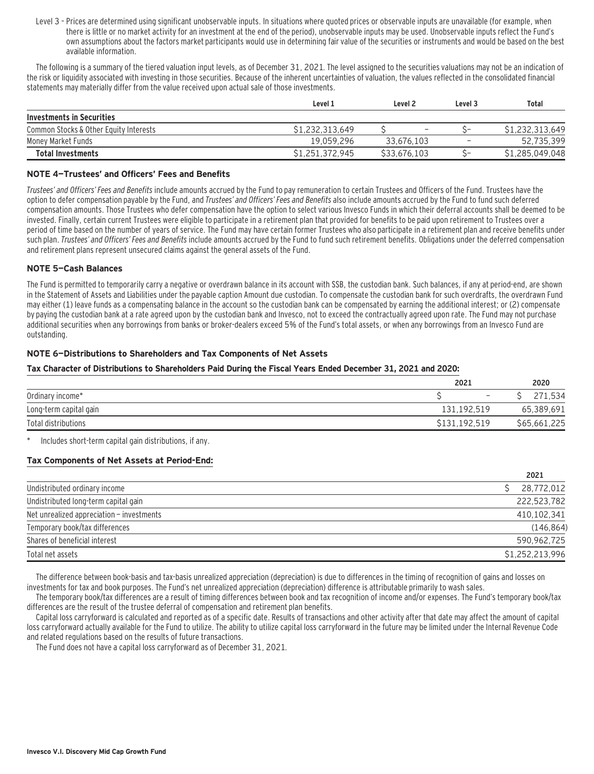Level 3 – Prices are determined using significant unobservable inputs. In situations where quoted prices or observable inputs are unavailable (for example, when there is little or no market activity for an investment at the end of the period), unobservable inputs may be used. Unobservable inputs reflect the Fund's own assumptions about the factors market participants would use in determining fair value of the securities or instruments and would be based on the best available information.

The following is a summary of the tiered valuation input levels, as of December 31, 2021. The level assigned to the securities valuations may not be an indication of the risk or liquidity associated with investing in those securities. Because of the inherent uncertainties of valuation, the values reflected in the consolidated financial statements may materially differ from the value received upon actual sale of those investments.

|                                        | Level 1         | Level <sub>2</sub> | Level 3                  | Total           |
|----------------------------------------|-----------------|--------------------|--------------------------|-----------------|
| Investments in Securities              |                 |                    |                          |                 |
| Common Stocks & Other Equity Interests | \$1.232.313.649 | -                  |                          | \$1,232,313,649 |
| Money Market Funds                     | 19.059.296      | 33.676.103         | $\overline{\phantom{a}}$ | 52,735,399      |
| <b>Total Investments</b>               | S1.251.372.945  | \$33,676,103       |                          | \$1,285,049,048 |

#### **NOTE 4—Trustees' and Officers' Fees and Benefits**

Trustees' and Officers' Fees and Benefits include amounts accrued by the Fund to pay remuneration to certain Trustees and Officers of the Fund. Trustees have the option to defer compensation payable by the Fund, and Trustees' and Officers' Fees and Benefits also include amounts accrued by the Fund to fund such deferred compensation amounts. Those Trustees who defer compensation have the option to select various Invesco Funds in which their deferral accounts shall be deemed to be invested. Finally, certain current Trustees were eligible to participate in a retirement plan that provided for benefits to be paid upon retirement to Trustees over a period of time based on the number of years of service. The Fund may have certain former Trustees who also participate in a retirement plan and receive benefits under such plan. Trustees' and Officers' Fees and Benefits include amounts accrued by the Fund to fund such retirement benefits. Obligations under the deferred compensation and retirement plans represent unsecured claims against the general assets of the Fund.

#### **NOTE 5—Cash Balances**

The Fund is permitted to temporarily carry a negative or overdrawn balance in its account with SSB, the custodian bank. Such balances, if any at period-end, are shown in the Statement of Assets and Liabilities under the payable caption Amount due custodian. To compensate the custodian bank for such overdrafts, the overdrawn Fund may either (1) leave funds as a compensating balance in the account so the custodian bank can be compensated by earning the additional interest; or (2) compensate by paying the custodian bank at a rate agreed upon by the custodian bank and Invesco, not to exceed the contractually agreed upon rate. The Fund may not purchase additional securities when any borrowings from banks or broker-dealers exceed 5% of the Fund's total assets, or when any borrowings from an Invesco Fund are outstanding.

#### **NOTE 6—Distributions to Shareholders and Tax Components of Net Assets**

#### **Tax Character of Distributions to Shareholders Paid During the Fiscal Years Ended December 31, 2021 and 2020:**

|                        | 2021                     | 2020         |  |  |
|------------------------|--------------------------|--------------|--|--|
| Ordinary income*       | $\overline{\phantom{0}}$ | .534         |  |  |
| Long-term capital gain | 131,192,519              | 65,389,691   |  |  |
| Total distributions    | \$131.192.519            | \$65,661,225 |  |  |

Includes short-term capital gain distributions, if any.

### **Tax Components of Net Assets at Period-End:**

|                                           | 2021            |
|-------------------------------------------|-----------------|
| Undistributed ordinary income             | 28.772.012      |
| Undistributed long-term capital gain      | 222,523,782     |
| Net unrealized appreciation - investments | 410.102.341     |
| Temporary book/tax differences            | (146, 864)      |
| Shares of beneficial interest             | 590.962.725     |
| Total net assets                          | \$1.252.213.996 |

The difference between book-basis and tax-basis unrealized appreciation (depreciation) is due to differences in the timing of recognition of gains and losses on investments for tax and book purposes. The Fund's net unrealized appreciation (depreciation) difference is attributable primarily to wash sales.

The temporary book/tax differences are a result of timing differences between book and tax recognition of income and/or expenses. The Fund's temporary book/tax differences are the result of the trustee deferral of compensation and retirement plan benefits.

Capital loss carryforward is calculated and reported as of a specific date. Results of transactions and other activity after that date may affect the amount of capital loss carryforward actually available for the Fund to utilize. The ability to utilize capital loss carryforward in the future may be limited under the Internal Revenue Code and related regulations based on the results of future transactions.

The Fund does not have a capital loss carryforward as of December 31, 2021.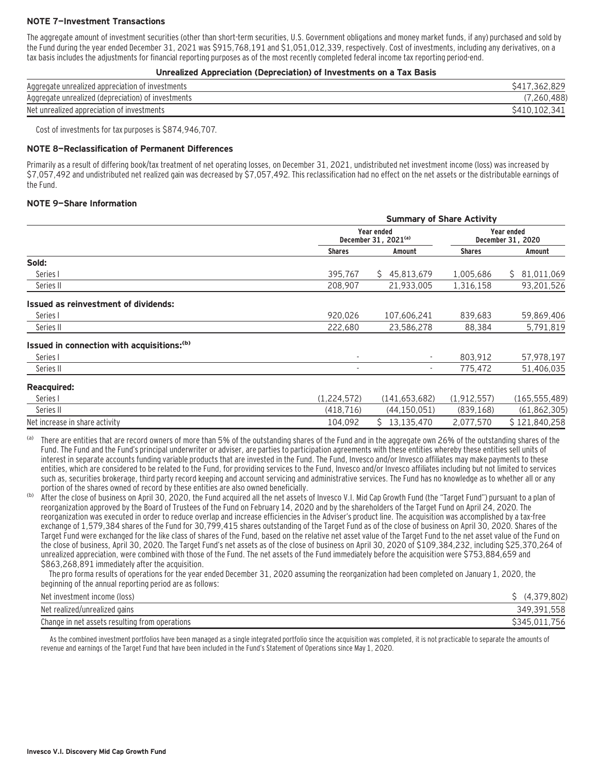#### **NOTE 7—Investment Transactions**

The aggregate amount of investment securities (other than short-term securities, U.S. Government obligations and money market funds, if any) purchased and sold by the Fund during the year ended December 31, 2021 was \$915,768,191 and \$1,051,012,339, respectively. Cost of investments, including any derivatives, on a tax basis includes the adjustments for financial reporting purposes as of the most recently completed federal income tax reporting period-end.

**Unrealized Appreciation (Depreciation) of Investments on a Tax Basis**

| <b>Official Application (Depreciation) or investments on a Tax Dasis</b> |              |
|--------------------------------------------------------------------------|--------------|
| Aggregate unrealized appreciation of investments                         | S417.362.829 |
| Aggregate unrealized (depreciation) of investments                       | (7,260,488)  |
| Net unrealized appreciation of investments                               | S410.102.341 |

Cost of investments for tax purposes is \$874,946,707.

#### **NOTE 8—Reclassification of Permanent Differences**

Primarily as a result of differing book/tax treatment of net operating losses, on December 31, 2021, undistributed net investment income (loss) was increased by \$7,057,492 and undistributed net realized gain was decreased by \$7,057,492. This reclassification had no effect on the net assets or the distributable earnings of the Fund.

#### **NOTE 9—Share Information**

|                                                        | <b>Summary of Share Activity</b> |                                                |               |                                 |
|--------------------------------------------------------|----------------------------------|------------------------------------------------|---------------|---------------------------------|
|                                                        |                                  | Year ended<br>December 31, 2021 <sup>(a)</sup> |               | Year ended<br>December 31, 2020 |
|                                                        | <b>Shares</b>                    | Amount                                         | <b>Shares</b> | Amount                          |
| Sold:                                                  |                                  |                                                |               |                                 |
| Series I                                               | 395,767                          | 45,813,679<br>S.                               | 1,005,686     | 81,011,069<br>S.                |
| Series II                                              | 208,907                          | 21,933,005                                     | 1,316,158     | 93,201,526                      |
| <b>Issued as reinvestment of dividends:</b>            |                                  |                                                |               |                                 |
| Series I                                               | 920,026                          | 107,606,241                                    | 839,683       | 59,869,406                      |
| Series II                                              | 222,680                          | 23,586,278                                     | 88,384        | 5,791,819                       |
| Issued in connection with acquisitions: <sup>(b)</sup> |                                  |                                                |               |                                 |
| Series I                                               |                                  | $\sim$                                         | 803,912       | 57,978,197                      |
| Series II                                              |                                  | ۰.                                             | 775,472       | 51,406,035                      |
| <b>Reacquired:</b>                                     |                                  |                                                |               |                                 |
| Series I                                               | (1,224,572)                      | (141, 653, 682)                                | (1, 912, 557) | (165, 555, 489)                 |
| Series II                                              | (418, 716)                       | (44, 150, 051)                                 | (839, 168)    | (61, 862, 305)                  |
| Net increase in share activity                         | 104.092                          | Ŝ.<br>13,135,470                               | 2.077.570     | \$121,840,258                   |

There are entities that are record owners of more than 5% of the outstanding shares of the Fund and in the aggregate own 26% of the outstanding shares of the Fund. The Fund and the Fund's principal underwriter or adviser, are parties to participation agreements with these entities whereby these entities sell units of interest in separate accounts funding variable products that are invested in the Fund. The Fund, Invesco and/or Invesco affiliates may make payments to these entities, which are considered to be related to the Fund, for providing services to the Fund, Invesco and/or Invesco affiliates including but not limited to services such as, securities brokerage, third party record keeping and account servicing and administrative services. The Fund has no knowledge as to whether all or any portion of the shares owned of record by these entities are also owned beneficially.

(b) After the close of business on April 30, 2020, the Fund acquired all the net assets of Invesco V.I. Mid Cap Growth Fund (the "Target Fund") pursuant to a plan of reorganization approved by the Board of Trustees of the Fund on February 14, 2020 and by the shareholders of the Target Fund on April 24, 2020. The reorganization was executed in order to reduce overlap and increase efficiencies in the Adviser's product line. The acquisition was accomplished by a tax-free exchange of 1,579,384 shares of the Fund for 30,799,415 shares outstanding of the Target Fund as of the close of business on April 30, 2020. Shares of the Target Fund were exchanged for the like class of shares of the Fund, based on the relative net asset value of the Target Fund to the net asset value of the Fund on the close of business, April 30, 2020. The Target Fund's net assets as of the close of business on April 30, 2020 of \$109,384,232, including \$25,370,264 of unrealized appreciation, were combined with those of the Fund. The net assets of the Fund immediately before the acquisition were \$753,884,659 and \$863,268,891 immediately after the acquisition.

 The pro forma results of operations for the year ended December 31, 2020 assuming the reorganization had been completed on January 1, 2020, the beginning of the annual reporting period are as follows:

| Net investment income (loss)                   | 802<br>$\Delta$ |
|------------------------------------------------|-----------------|
| Net realized/unrealized gains                  | 558<br>349.     |
| Change in net assets resulting from operations | $^{\circ}345$ . |

As the combined investment portfolios have been managed as a single integrated portfolio since the acquisition was completed, it is not practicable to separate the amounts of revenue and earnings of the Target Fund that have been included in the Fund's Statement of Operations since May 1, 2020.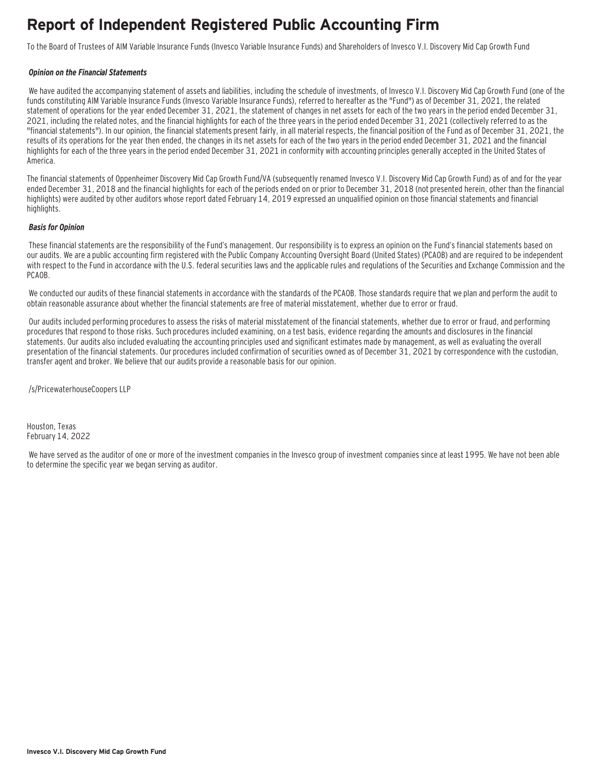### **Report of Independent Registered Public Accounting Firm**

To the Board of Trustees of AIM Variable Insurance Funds (Invesco Variable Insurance Funds) and Shareholders of Invesco V.I. Discovery Mid Cap Growth Fund

#### **Opinion on the Financial Statements**

We have audited the accompanying statement of assets and liabilities, including the schedule of investments, of Invesco V.I. Discovery Mid Cap Growth Fund (one of the funds constituting AIM Variable Insurance Funds (Invesco Variable Insurance Funds), referred to hereafter as the "Fund") as of December 31, 2021, the related statement of operations for the year ended December 31, 2021, the statement of changes in net assets for each of the two years in the period ended December 31, 2021, including the related notes, and the financial highlights for each of the three years in the period ended December 31, 2021 (collectively referred to as the "financial statements"). In our opinion, the financial statements present fairly, in all material respects, the financial position of the Fund as of December 31, 2021, the results of its operations for the year then ended, the changes in its net assets for each of the two years in the period ended December 31, 2021 and the financial highlights for each of the three years in the period ended December 31, 2021 in conformity with accounting principles generally accepted in the United States of America.

The financial statements of Oppenheimer Discovery Mid Cap Growth Fund/VA (subsequently renamed Invesco V.I. Discovery Mid Cap Growth Fund) as of and for the year ended December 31, 2018 and the financial highlights for each of the periods ended on or prior to December 31, 2018 (not presented herein, other than the financial highlights) were audited by other auditors whose report dated February 14, 2019 expressed an unqualified opinion on those financial statements and financial highlights.

#### **Basis for Opinion**

These financial statements are the responsibility of the Fund's management. Our responsibility is to express an opinion on the Fund's financial statements based on our audits. We are a public accounting firm registered with the Public Company Accounting Oversight Board (United States) (PCAOB) and are required to be independent with respect to the Fund in accordance with the U.S. federal securities laws and the applicable rules and regulations of the Securities and Exchange Commission and the PCAOB.

 We conducted our audits of these financial statements in accordance with the standards of the PCAOB. Those standards require that we plan and perform the audit to obtain reasonable assurance about whether the financial statements are free of material misstatement, whether due to error or fraud.

 Our audits included performing procedures to assess the risks of material misstatement of the financial statements, whether due to error or fraud, and performing procedures that respond to those risks. Such procedures included examining, on a test basis, evidence regarding the amounts and disclosures in the financial statements. Our audits also included evaluating the accounting principles used and significant estimates made by management, as well as evaluating the overall presentation of the financial statements. Our procedures included confirmation of securities owned as of December 31, 2021 by correspondence with the custodian, transfer agent and broker. We believe that our audits provide a reasonable basis for our opinion.

/s/PricewaterhouseCoopers LLP

Houston, Texas February 14, 2022

 We have served as the auditor of one or more of the investment companies in the Invesco group of investment companies since at least 1995. We have not been able to determine the specific year we began serving as auditor.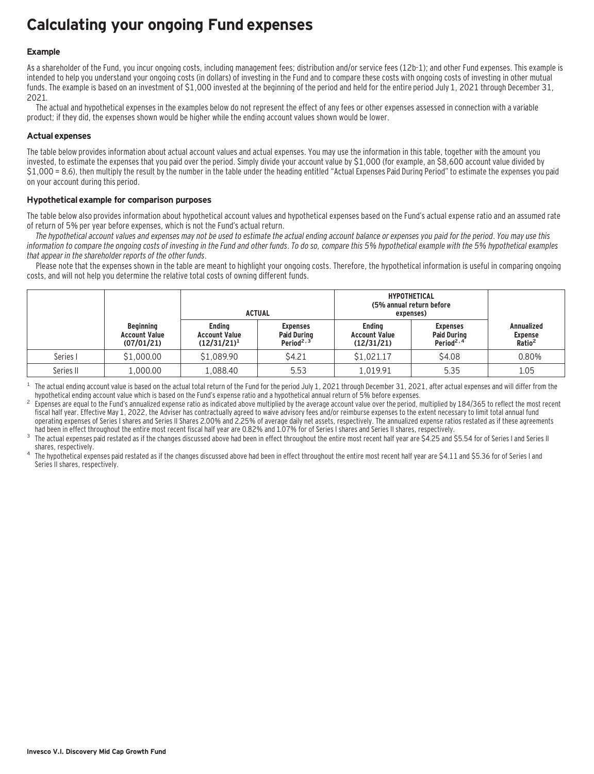### **Calculating your ongoing Fund expenses**

#### **Example**

As a shareholder of the Fund, you incur ongoing costs, including management fees; distribution and/or service fees (12b-1); and other Fund expenses. This example is intended to help you understand your ongoing costs (in dollars) of investing in the Fund and to compare these costs with ongoing costs of investing in other mutual funds. The example is based on an investment of \$1,000 invested at the beginning of the period and held for the entire period July 1, 2021 through December 31, 2021.

The actual and hypothetical expenses in the examples below do not represent the effect of any fees or other expenses assessed in connection with a variable product; if they did, the expenses shown would be higher while the ending account values shown would be lower.

#### **Actual expenses**

The table below provides information about actual account values and actual expenses. You may use the information in this table, together with the amount you invested, to estimate the expenses that you paid over the period. Simply divide your account value by \$1,000 (for example, an \$8,600 account value divided by \$1,000 = 8.6), then multiply the result by the number in the table under the heading entitled "Actual Expenses Paid During Period" to estimate the expenses you paid on your account during this period.

#### **Hypothetical example for comparison purposes**

The table below also provides information about hypothetical account values and hypothetical expenses based on the Fund's actual expense ratio and an assumed rate of return of 5% per year before expenses, which is not the Fund's actual return.

The hypothetical account values and expenses may not be used to estimate the actual ending account balance or expenses you paid for the period. You may use this information to compare the ongoing costs of investing in the Fund and other funds. To do so, compare this 5% hypothetical example with the 5% hypothetical examples that appear in the shareholder reports of the other funds.

Please note that the expenses shown in the table are meant to highlight your ongoing costs. Therefore, the hypothetical information is useful in comparing ongoing costs, and will not help you determine the relative total costs of owning different funds.

|           |                                                        |                                                         | <b>ACTUAL</b>                                                   | <b>HYPOTHETICAL</b><br>(5% annual return before<br>expenses) |                                                                |                                                    |
|-----------|--------------------------------------------------------|---------------------------------------------------------|-----------------------------------------------------------------|--------------------------------------------------------------|----------------------------------------------------------------|----------------------------------------------------|
|           | <b>Beginning</b><br><b>Account Value</b><br>(07/01/21) | <b>Endina</b><br><b>Account Value</b><br>$(12/31/21)^1$ | <b>Expenses</b><br><b>Paid During</b><br>Period <sup>2, 3</sup> | <b>Endina</b><br><b>Account Value</b><br>(12/31/21)          | <b>Expenses</b><br><b>Paid During</b><br>Period <sup>2,4</sup> | <b>Annualized</b><br>Expense<br>Ratio <sup>2</sup> |
| Series I  | \$1,000.00                                             | \$1,089.90                                              | \$4.21                                                          | \$1,021.17                                                   | \$4.08                                                         | 0.80%                                              |
| Series II | .000.00                                                | 1.088.40                                                | 5.53                                                            | 1.019.91                                                     | 5.35                                                           | 1.05                                               |

<sup>1</sup> The actual ending account value is based on the actual total return of the Fund for the period July 1, 2021 through December 31, 2021, after actual expenses and will differ from the hupothetical ending account value w

Expenses are equal to the Fund's annualized expense ratio as indicated above multiplied by the average account value over the period, multiplied by 184/365 to reflect the most recent fiscal half year. Effective May 1, 2022, the Adviser has contractually agreed to waive advisory fees and/or reimburse expenses to the extent necessary to limit total annual fund operating expenses of Series I shares and Series II Shares 2.00% and 2.25% of average daily net assets, respectively. The annualized expense ratios restated as if these agreements had been in effect throughout the entire m

<sup>3</sup> The actual expenses paid restated as if the changes discussed above had been in effect throughout the entire most recent half year are \$4.25 and \$5.54 for of Series I and Series II<br>shares, respectively.

<sup>4</sup> The hypothetical expenses paid restated as if the changes discussed above had been in effect throughout the entire most recent half year are \$4.11 and \$5.36 for of Series I and Series II shares, respectively.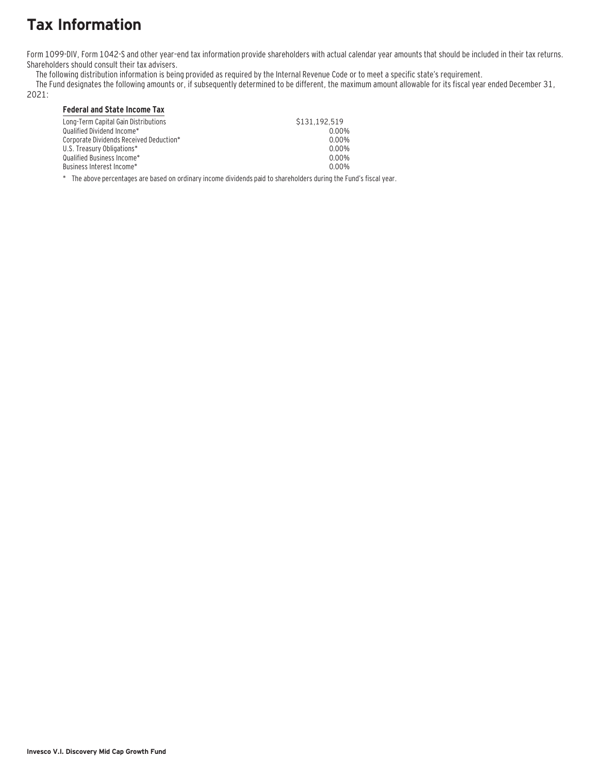# **Tax Information**

Form 1099-DIV, Form 1042-S and other year–end tax information provide shareholders with actual calendar year amounts that should be included in their tax returns. Shareholders should consult their tax advisers.

The following distribution information is being provided as required by the Internal Revenue Code or to meet a specific state's requirement.

The Fund designates the following amounts or, if subsequently determined to be different, the maximum amount allowable for its fiscal year ended December 31,

2021:

### **Federal and State Income Tax**

| Long-Term Capital Gain Distributions    | \$131.192.519 |
|-----------------------------------------|---------------|
| Oualified Dividend Income*              | 0.00%         |
| Corporate Dividends Received Deduction* | 0.00%         |
| U.S. Treasury Obligations*              | 0.00%         |
| Oualified Business Income*              | 0.00%         |
| Business Interest Income*_              | 0.00%         |
|                                         |               |

\* The above percentages are based on ordinary income dividends paid to shareholders during the Fund's fiscal year.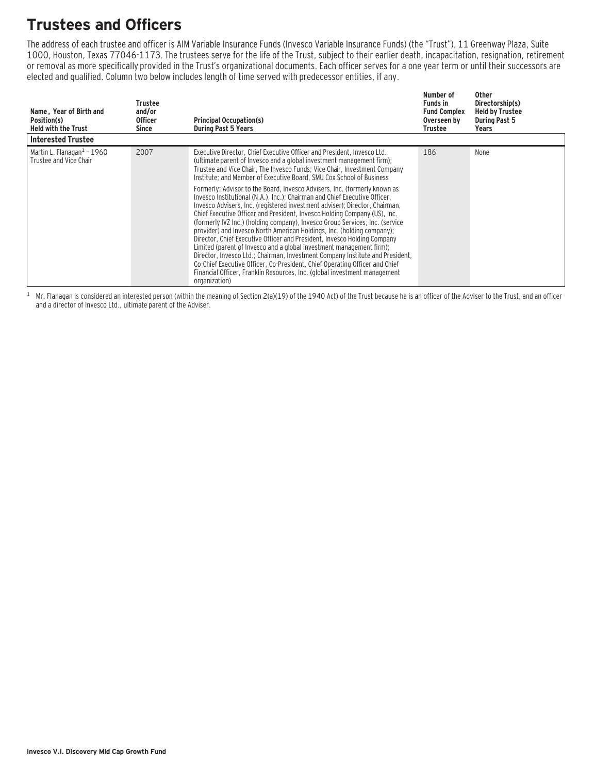# **Trustees and Officers**

The address of each trustee and officer is AIM Variable Insurance Funds (Invesco Variable Insurance Funds) (the "Trust"), 11 Greenway Plaza, Suite 1000, Houston, Texas 77046-1173. The trustees serve for the life of the Trust, subject to their earlier death, incapacitation, resignation, retirement or removal as more specifically provided in the Trust's organizational documents. Each officer serves for a one year term or until their successors are elected and qualified. Column two below includes length of time served with predecessor entities, if any.

| Name, Year of Birth and<br>Position(s)<br><b>Held with the Trust</b> | Trustee<br>and/or<br><b>Officer</b><br>Since | <b>Principal Occupation(s)</b><br><b>During Past 5 Years</b>                                                                                                                                                                                                                                                                                                                                                                                                                                                                                                                                                                                                                                                                                                                                                                                                                                                                                                                                                                                                                                                                                                                                             | Number of<br><b>Funds in</b><br><b>Fund Complex</b><br>Overseen by<br>Trustee | <b>Other</b><br>Directorship(s)<br><b>Held by Trustee</b><br><b>During Past 5</b><br>Years |
|----------------------------------------------------------------------|----------------------------------------------|----------------------------------------------------------------------------------------------------------------------------------------------------------------------------------------------------------------------------------------------------------------------------------------------------------------------------------------------------------------------------------------------------------------------------------------------------------------------------------------------------------------------------------------------------------------------------------------------------------------------------------------------------------------------------------------------------------------------------------------------------------------------------------------------------------------------------------------------------------------------------------------------------------------------------------------------------------------------------------------------------------------------------------------------------------------------------------------------------------------------------------------------------------------------------------------------------------|-------------------------------------------------------------------------------|--------------------------------------------------------------------------------------------|
| <b>Interested Trustee</b>                                            |                                              |                                                                                                                                                                                                                                                                                                                                                                                                                                                                                                                                                                                                                                                                                                                                                                                                                                                                                                                                                                                                                                                                                                                                                                                                          |                                                                               |                                                                                            |
| Martin L. Flanagan $1 - 1960$<br>Trustee and Vice Chair              | 2007                                         | Executive Director, Chief Executive Officer and President, Invesco Ltd.<br>(ultimate parent of Invesco and a global investment management firm);<br>Trustee and Vice Chair, The Invesco Funds; Vice Chair, Investment Company<br>Institute; and Member of Executive Board, SMU Cox School of Business<br>Formerly: Advisor to the Board, Invesco Advisers, Inc. (formerly known as<br>Invesco Institutional (N.A.), Inc.): Chairman and Chief Executive Officer.<br>Invesco Advisers, Inc. (registered investment adviser); Director, Chairman,<br>Chief Executive Officer and President, Invesco Holding Company (US), Inc.<br>(formerly IVZ Inc.) (holding company), Invesco Group Services, Inc. (service<br>provider) and Invesco North American Holdings, Inc. (holding company);<br>Director, Chief Executive Officer and President, Invesco Holding Company<br>Limited (parent of Invesco and a global investment management firm);<br>Director, Invesco Ltd.; Chairman, Investment Company Institute and President,<br>Co-Chief Executive Officer, Co-President, Chief Operating Officer and Chief<br>Financial Officer, Franklin Resources, Inc. (global investment management<br>organization) | 186                                                                           | None                                                                                       |

 $1$  Mr. Flanagan is considered an interested person (within the meaning of Section 2(a)(19) of the 1940 Act) of the Trust because he is an officer of the Adviser to the Trust, and an officer and a director of Invesco Ltd., ultimate parent of the Adviser.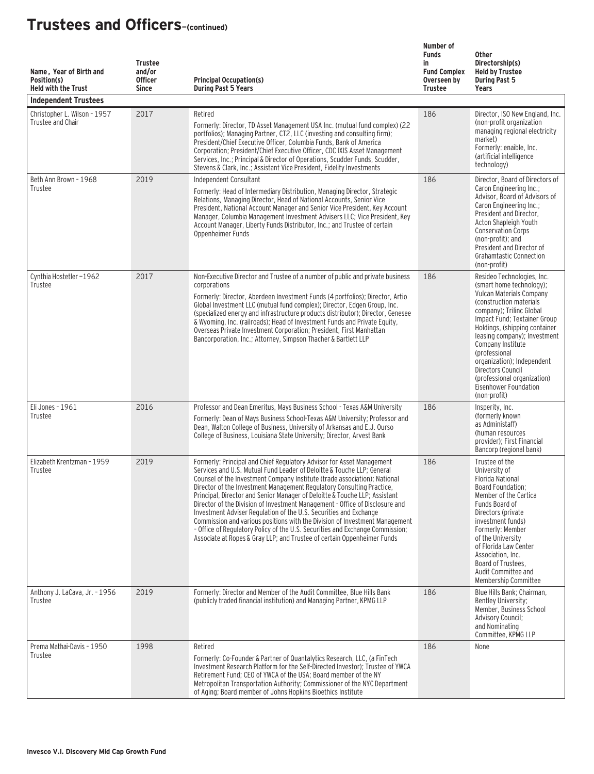| Name, Year of Birth and<br>Position(s)<br><b>Held with the Trust</b><br><b>Independent Trustees</b> | <b>Trustee</b><br>and/or<br><b>Officer</b><br><b>Since</b> | <b>Principal Occupation(s)</b><br><b>During Past 5 Years</b>                                                                                                                                                                                                                                                                                                                                                                                                                                                                                                                                                                                                                                                                                                                        | Number of<br><b>Funds</b><br>in<br><b>Fund Complex</b><br>Overseen by<br><b>Trustee</b> | <b>Other</b><br>Directorship(s)<br><b>Held by Trustee</b><br><b>During Past 5</b><br>Years                                                                                                                                                                                                                                                                                                                   |
|-----------------------------------------------------------------------------------------------------|------------------------------------------------------------|-------------------------------------------------------------------------------------------------------------------------------------------------------------------------------------------------------------------------------------------------------------------------------------------------------------------------------------------------------------------------------------------------------------------------------------------------------------------------------------------------------------------------------------------------------------------------------------------------------------------------------------------------------------------------------------------------------------------------------------------------------------------------------------|-----------------------------------------------------------------------------------------|--------------------------------------------------------------------------------------------------------------------------------------------------------------------------------------------------------------------------------------------------------------------------------------------------------------------------------------------------------------------------------------------------------------|
| Christopher L. Wilson - 1957<br>Trustee and Chair                                                   | 2017                                                       | Retired<br>Formerly: Director, TD Asset Management USA Inc. (mutual fund complex) (22<br>portfolios); Managing Partner, CT2, LLC (investing and consulting firm);<br>President/Chief Executive Officer, Columbia Funds, Bank of America<br>Corporation; President/Chief Executive Officer, CDC IXIS Asset Management<br>Services, Inc.; Principal & Director of Operations, Scudder Funds, Scudder,<br>Stevens & Clark, Inc.; Assistant Vice President, Fidelity Investments                                                                                                                                                                                                                                                                                                        | 186                                                                                     | Director, ISO New England, Inc.<br>(non-profit organization<br>managing regional electricity<br>market)<br>Formerly: enaible, Inc.<br>(artificial intelligence<br>technology)                                                                                                                                                                                                                                |
| Beth Ann Brown - 1968<br>Trustee                                                                    | 2019                                                       | Independent Consultant<br>Formerly: Head of Intermediary Distribution, Managing Director, Strategic<br>Relations, Managing Director, Head of National Accounts, Senior Vice<br>President, National Account Manager and Senior Vice President, Key Account<br>Manager, Columbia Management Investment Advisers LLC; Vice President, Key<br>Account Manager, Liberty Funds Distributor, Inc.; and Trustee of certain<br>Oppenheimer Funds                                                                                                                                                                                                                                                                                                                                             | 186                                                                                     | Director, Board of Directors of<br>Caron Engineering Inc.;<br>Advisor, Board of Advisors of<br>Caron Engineering Inc.;<br>President and Director,<br>Acton Shapleigh Youth<br><b>Conservation Corps</b><br>(non-profit); and<br>President and Director of<br><b>Grahamtastic Connection</b><br>(non-profit)                                                                                                  |
| Cynthia Hostetler-1962<br>Trustee                                                                   | 2017                                                       | Non-Executive Director and Trustee of a number of public and private business<br>corporations<br>Formerly: Director, Aberdeen Investment Funds (4 portfolios); Director, Artio<br>Global Investment LLC (mutual fund complex); Director, Edgen Group, Inc.<br>(specialized energy and infrastructure products distributor); Director, Genesee<br>& Wyoming, Inc. (railroads); Head of Investment Funds and Private Equity,<br>Overseas Private Investment Corporation; President, First Manhattan<br>Bancorporation, Inc.; Attorney, Simpson Thacher & Bartlett LLP                                                                                                                                                                                                                 | 186                                                                                     | Resideo Technologies, Inc.<br>(smart home technology);<br>Vulcan Materials Company<br>(construction materials)<br>company); Trilinc Global<br>Impact Fund; Textainer Group<br>Holdings, (shipping container<br>leasing company); Investment<br>Company Institute<br>(professional<br>organization); Independent<br>Directors Council<br>(professional organization)<br>Eisenhower Foundation<br>(non-profit) |
| Eli Jones - 1961<br>Trustee                                                                         | 2016                                                       | Professor and Dean Emeritus, Mays Business School - Texas A&M University<br>Formerly: Dean of Mays Business School-Texas A&M University; Professor and<br>Dean, Walton College of Business, University of Arkansas and E.J. Ourso<br>College of Business, Louisiana State University; Director, Arvest Bank                                                                                                                                                                                                                                                                                                                                                                                                                                                                         | 186                                                                                     | Insperity, Inc.<br>(formerly known)<br>as Administaff)<br>(human resources<br>provider): First Financial<br>Bancorp (regional bank)                                                                                                                                                                                                                                                                          |
| Elizabeth Krentzman - 1959<br>Trustee                                                               | 2019                                                       | Formerly: Principal and Chief Regulatory Advisor for Asset Management<br>Services and U.S. Mutual Fund Leader of Deloitte & Touche LLP: General<br>Counsel of the Investment Company Institute (trade association); National<br>Director of the Investment Management Regulatory Consulting Practice,<br>Principal, Director and Senior Manager of Deloitte & Touche LLP; Assistant<br>Director of the Division of Investment Management - Office of Disclosure and<br>Investment Adviser Regulation of the U.S. Securities and Exchange<br>Commission and various positions with the Division of Investment Management<br>- Office of Regulatory Policy of the U.S. Securities and Exchange Commission;<br>Associate at Ropes & Gray LLP; and Trustee of certain Oppenheimer Funds | 186                                                                                     | Trustee of the<br>University of<br><b>Florida National</b><br>Board Foundation;<br>Member of the Cartica<br>Funds Board of<br>Directors (private<br>investment funds)<br>Formerly: Member<br>of the University<br>of Florida Law Center<br>Association, Inc.<br>Board of Trustees,<br>Audit Committee and<br>Membership Committee                                                                            |
| Anthony J. LaCava, Jr. - 1956<br>Trustee                                                            | 2019                                                       | Formerly: Director and Member of the Audit Committee, Blue Hills Bank<br>(publicly traded financial institution) and Managing Partner, KPMG LLP                                                                                                                                                                                                                                                                                                                                                                                                                                                                                                                                                                                                                                     | 186                                                                                     | Blue Hills Bank; Chairman,<br>Bentley University;<br>Member, Business School<br><b>Advisory Council;</b><br>and Nominating<br>Committee, KPMG LLP                                                                                                                                                                                                                                                            |
| Prema Mathai-Davis - 1950<br>Trustee                                                                | 1998                                                       | Retired<br>Formerly: Co-Founder & Partner of Quantalytics Research, LLC, (a FinTech<br>Investment Research Platform for the Self-Directed Investor); Trustee of YWCA<br>Retirement Fund; CEO of YWCA of the USA; Board member of the NY<br>Metropolitan Transportation Authority; Commissioner of the NYC Department<br>of Aging; Board member of Johns Hopkins Bioethics Institute                                                                                                                                                                                                                                                                                                                                                                                                 | 186                                                                                     | None                                                                                                                                                                                                                                                                                                                                                                                                         |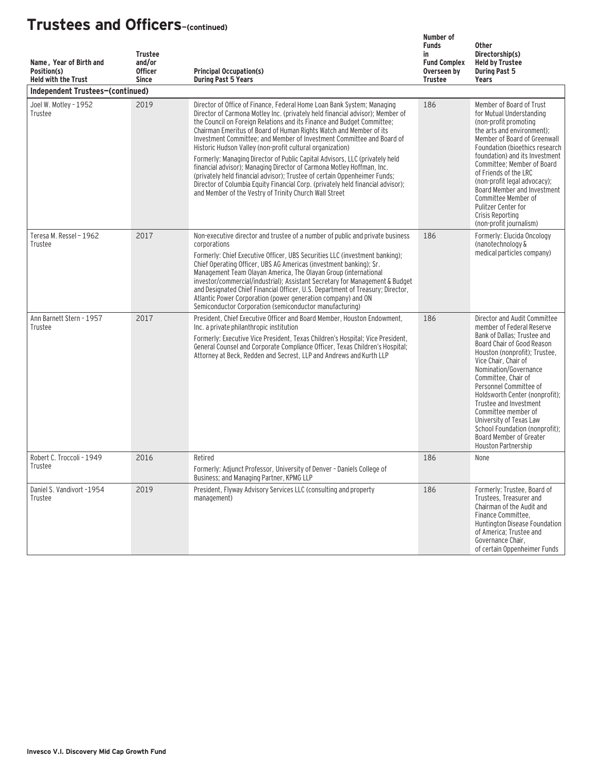| Name, Year of Birth and<br>Position(s)<br><b>Held with the Trust</b> | <b>Trustee</b><br>and/or<br><b>Officer</b><br><b>Since</b> | <b>Principal Occupation(s)</b><br><b>During Past 5 Years</b>                                                                                                                                                                                                                                                                                                                                                                                                                                                                                                                                                                                                                                                                                                                                                                    | Number of<br><b>Funds</b><br>in<br><b>Fund Complex</b><br>Overseen by<br><b>Trustee</b> | <b>Other</b><br>Directorship(s)<br><b>Held by Trustee</b><br><b>During Past 5</b><br>Years                                                                                                                                                                                                                                                                                                                                                                  |
|----------------------------------------------------------------------|------------------------------------------------------------|---------------------------------------------------------------------------------------------------------------------------------------------------------------------------------------------------------------------------------------------------------------------------------------------------------------------------------------------------------------------------------------------------------------------------------------------------------------------------------------------------------------------------------------------------------------------------------------------------------------------------------------------------------------------------------------------------------------------------------------------------------------------------------------------------------------------------------|-----------------------------------------------------------------------------------------|-------------------------------------------------------------------------------------------------------------------------------------------------------------------------------------------------------------------------------------------------------------------------------------------------------------------------------------------------------------------------------------------------------------------------------------------------------------|
| Independent Trustees-(continued)                                     |                                                            |                                                                                                                                                                                                                                                                                                                                                                                                                                                                                                                                                                                                                                                                                                                                                                                                                                 |                                                                                         |                                                                                                                                                                                                                                                                                                                                                                                                                                                             |
| Joel W. Motley - 1952<br>Trustee                                     | 2019                                                       | Director of Office of Finance, Federal Home Loan Bank System; Managing<br>Director of Carmona Motley Inc. (privately held financial advisor); Member of<br>the Council on Foreign Relations and its Finance and Budget Committee;<br>Chairman Emeritus of Board of Human Rights Watch and Member of its<br>Investment Committee; and Member of Investment Committee and Board of<br>Historic Hudson Valley (non-profit cultural organization)<br>Formerly: Managing Director of Public Capital Advisors, LLC (privately held<br>financial advisor); Managing Director of Carmona Motley Hoffman, Inc.<br>(privately held financial advisor); Trustee of certain Oppenheimer Funds;<br>Director of Columbia Equity Financial Corp. (privately held financial advisor);<br>and Member of the Vestry of Trinity Church Wall Street | 186                                                                                     | Member of Board of Trust<br>for Mutual Understanding<br>(non-profit promoting<br>the arts and environment);<br>Member of Board of Greenwall<br>Foundation (bioethics research<br>foundation) and its Investment<br>Committee: Member of Board<br>of Friends of the LRC<br>(non-profit legal advocacy);<br>Board Member and Investment<br>Committee Member of<br>Pulitzer Center for<br>Crisis Reporting<br>(non-profit journalism)                          |
| Teresa M. Ressel - 1962<br>Trustee                                   | 2017                                                       | Non-executive director and trustee of a number of public and private business<br>corporations<br>Formerly: Chief Executive Officer, UBS Securities LLC (investment banking);<br>Chief Operating Officer, UBS AG Americas (investment banking); Sr.<br>Management Team Olayan America, The Olayan Group (international<br>investor/commercial/industrial); Assistant Secretary for Management & Budget<br>and Designated Chief Financial Officer, U.S. Department of Treasury; Director,<br>Atlantic Power Corporation (power generation company) and ON<br>Semiconductor Corporation (semiconductor manufacturing)                                                                                                                                                                                                              | 186                                                                                     | Formerly: Elucida Oncology<br>(nanotechnology &<br>medical particles company)                                                                                                                                                                                                                                                                                                                                                                               |
| Ann Barnett Stern - 1957<br>Trustee                                  | 2017                                                       | President, Chief Executive Officer and Board Member, Houston Endowment,<br>Inc. a private philanthropic institution<br>Formerly: Executive Vice President, Texas Children's Hospital; Vice President,<br>General Counsel and Corporate Compliance Officer, Texas Children's Hospital;<br>Attorney at Beck, Redden and Secrest, LLP and Andrews and Kurth LLP                                                                                                                                                                                                                                                                                                                                                                                                                                                                    | 186                                                                                     | Director and Audit Committee<br>member of Federal Reserve<br>Bank of Dallas; Trustee and<br>Board Chair of Good Reason<br>Houston (nonprofit); Trustee,<br>Vice Chair, Chair of<br>Nomination/Governance<br>Committee, Chair of<br>Personnel Committee of<br>Holdsworth Center (nonprofit);<br>Trustee and Investment<br>Committee member of<br>University of Texas Law<br>School Foundation (nonprofit):<br>Board Member of Greater<br>Houston Partnership |
| Robert C. Troccoli - 1949<br>Trustee                                 | 2016                                                       | Retired<br>Formerly: Adjunct Professor, University of Denver - Daniels College of<br>Business; and Managing Partner, KPMG LLP                                                                                                                                                                                                                                                                                                                                                                                                                                                                                                                                                                                                                                                                                                   | 186                                                                                     | None                                                                                                                                                                                                                                                                                                                                                                                                                                                        |
| Daniel S. Vandivort -1954<br>Trustee                                 | 2019                                                       | President, Flyway Advisory Services LLC (consulting and property<br>management)                                                                                                                                                                                                                                                                                                                                                                                                                                                                                                                                                                                                                                                                                                                                                 | 186                                                                                     | Formerly: Trustee, Board of<br>Trustees, Treasurer and<br>Chairman of the Audit and<br>Finance Committee,<br>Huntington Disease Foundation<br>of America; Trustee and<br>Governance Chair,<br>of certain Oppenheimer Funds                                                                                                                                                                                                                                  |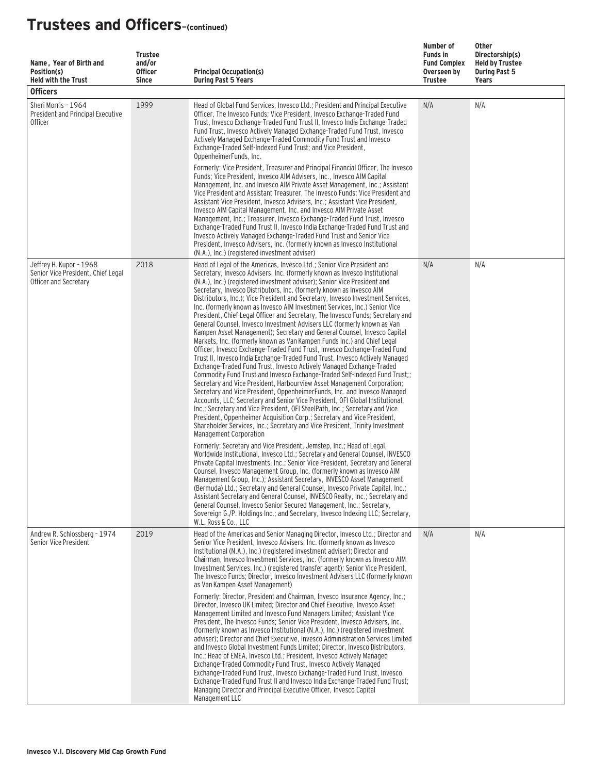| Name, Year of Birth and<br>Position(s)<br><b>Held with the Trust</b><br><b>Officers</b> | <b>Trustee</b><br>and/or<br><b>Officer</b><br><b>Since</b> | <b>Principal Occupation(s)</b><br><b>During Past 5 Years</b>                                                                                                                                                                                                                                                                                                                                                                                                                                                                                                                                                                                                                                                                                                                                                                                                                                                                                                                                                                                                                                                                                                                                                                                                                                                                                                                                                                                                                                                                                                                                                                 | Number of<br><b>Funds in</b><br><b>Fund Complex</b><br>Overseen by<br>Trustee | Other<br>Directorship(s)<br><b>Held by Trustee</b><br><b>During Past 5</b><br>Years |
|-----------------------------------------------------------------------------------------|------------------------------------------------------------|------------------------------------------------------------------------------------------------------------------------------------------------------------------------------------------------------------------------------------------------------------------------------------------------------------------------------------------------------------------------------------------------------------------------------------------------------------------------------------------------------------------------------------------------------------------------------------------------------------------------------------------------------------------------------------------------------------------------------------------------------------------------------------------------------------------------------------------------------------------------------------------------------------------------------------------------------------------------------------------------------------------------------------------------------------------------------------------------------------------------------------------------------------------------------------------------------------------------------------------------------------------------------------------------------------------------------------------------------------------------------------------------------------------------------------------------------------------------------------------------------------------------------------------------------------------------------------------------------------------------------|-------------------------------------------------------------------------------|-------------------------------------------------------------------------------------|
| Sheri Morris - 1964<br>President and Principal Executive<br><b>Officer</b>              | 1999                                                       | Head of Global Fund Services, Invesco Ltd.; President and Principal Executive<br>Officer, The Invesco Funds; Vice President, Invesco Exchange-Traded Fund<br>Trust, Invesco Exchange-Traded Fund Trust II, Invesco India Exchange-Traded<br>Fund Trust, Invesco Actively Managed Exchange-Traded Fund Trust, Invesco<br>Actively Managed Exchange-Traded Commodity Fund Trust and Invesco<br>Exchange-Traded Self-Indexed Fund Trust: and Vice President.<br>OppenheimerFunds, Inc.<br>Formerly: Vice President, Treasurer and Principal Financial Officer, The Invesco<br>Funds; Vice President, Invesco AIM Advisers, Inc., Invesco AIM Capital<br>Management, Inc. and Invesco AIM Private Asset Management, Inc.; Assistant<br>Vice President and Assistant Treasurer, The Invesco Funds; Vice President and<br>Assistant Vice President, Invesco Advisers, Inc.; Assistant Vice President,<br>Invesco AIM Capital Management, Inc. and Invesco AIM Private Asset<br>Management, Inc.; Treasurer, Invesco Exchange-Traded Fund Trust, Invesco<br>Exchange-Traded Fund Trust II, Invesco India Exchange-Traded Fund Trust and<br>Invesco Actively Managed Exchange-Traded Fund Trust and Senior Vice<br>President, Invesco Advisers, Inc. (formerly known as Invesco Institutional<br>(N.A.), Inc.) (registered investment adviser)                                                                                                                                                                                                                                                                                       | N/A                                                                           | N/A                                                                                 |
| Jeffrey H. Kupor - 1968<br>Senior Vice President, Chief Legal<br>Officer and Secretary  | 2018                                                       | Head of Legal of the Americas, Invesco Ltd.; Senior Vice President and<br>Secretary, Invesco Advisers, Inc. (formerly known as Invesco Institutional<br>(N.A.), Inc.) (registered investment adviser); Senior Vice President and<br>Secretary, Invesco Distributors, Inc. (formerly known as Invesco AIM<br>Distributors, Inc.); Vice President and Secretary, Invesco Investment Services,<br>Inc. (formerly known as Invesco AIM Investment Services, Inc.) Senior Vice<br>President, Chief Legal Officer and Secretary, The Invesco Funds; Secretary and<br>General Counsel, Invesco Investment Advisers LLC (formerly known as Van<br>Kampen Asset Management); Secretary and General Counsel, Invesco Capital<br>Markets, Inc. (formerly known as Van Kampen Funds Inc.) and Chief Legal<br>Officer, Invesco Exchange-Traded Fund Trust, Invesco Exchange-Traded Fund<br>Trust II, Invesco India Exchange-Traded Fund Trust, Invesco Actively Managed<br>Exchange-Traded Fund Trust, Invesco Actively Managed Exchange-Traded<br>Commodity Fund Trust and Invesco Exchange-Traded Self-Indexed Fund Trust;;<br>Secretary and Vice President, Harbourview Asset Management Corporation;<br>Secretary and Vice President, OppenheimerFunds, Inc. and Invesco Managed<br>Accounts, LLC; Secretary and Senior Vice President, OFI Global Institutional,<br>Inc.; Secretary and Vice President, OFI SteelPath, Inc.; Secretary and Vice<br>President, Oppenheimer Acquisition Corp.; Secretary and Vice President,<br>Shareholder Services, Inc.; Secretary and Vice President, Trinity Investment<br>Management Corporation | N/A                                                                           | N/A                                                                                 |
|                                                                                         |                                                            | Formerly: Secretary and Vice President, Jemstep, Inc.; Head of Legal,<br>Worldwide Institutional, Invesco Ltd.; Secretary and General Counsel, INVESCO<br>Private Capital Investments, Inc.; Senior Vice President, Secretary and General<br>Counsel, Invesco Management Group, Inc. (formerly known as Invesco AIM<br>Management Group, Inc.); Assistant Secretary, INVESCO Asset Management<br>(Bermuda) Ltd.; Secretary and General Counsel, Invesco Private Capital, Inc.;<br>Assistant Secretary and General Counsel, INVESCO Realty, Inc.; Secretary and<br>General Counsel, Invesco Senior Secured Management, Inc.; Secretary,<br>Sovereign G./P. Holdings Inc.; and Secretary, Invesco Indexing LLC; Secretary,<br>W.L. Ross & Co., LLC                                                                                                                                                                                                                                                                                                                                                                                                                                                                                                                                                                                                                                                                                                                                                                                                                                                                             |                                                                               |                                                                                     |
| Andrew R. Schlossberg - 1974<br>Senior Vice President                                   | 2019                                                       | Head of the Americas and Senior Managing Director, Invesco Ltd.; Director and<br>Senior Vice President, Invesco Advisers, Inc. (formerly known as Invesco<br>Institutional (N.A.), Inc.) (registered investment adviser); Director and<br>Chairman, Invesco Investment Services, Inc. (formerly known as Invesco AIM<br>Investment Services, Inc.) (registered transfer agent); Senior Vice President,<br>The Invesco Funds: Director, Invesco Investment Advisers LLC (formerly known<br>as Van Kampen Asset Management)<br>Formerly: Director, President and Chairman, Invesco Insurance Agency, Inc.:<br>Director, Invesco UK Limited; Director and Chief Executive, Invesco Asset<br>Management Limited and Invesco Fund Managers Limited; Assistant Vice<br>President, The Invesco Funds; Senior Vice President, Invesco Advisers, Inc.<br>(formerly known as Invesco Institutional (N.A.), Inc.) (registered investment<br>adviser); Director and Chief Executive, Invesco Administration Services Limited<br>and Invesco Global Investment Funds Limited; Director, Invesco Distributors,<br>Inc.; Head of EMEA, Invesco Ltd.; President, Invesco Actively Managed<br>Exchange-Traded Commodity Fund Trust, Invesco Actively Managed<br>Exchange-Traded Fund Trust, Invesco Exchange-Traded Fund Trust, Invesco<br>Exchange-Traded Fund Trust II and Invesco India Exchange-Traded Fund Trust;<br>Managing Director and Principal Executive Officer, Invesco Capital                                                                                                                                                  | N/A                                                                           | N/A                                                                                 |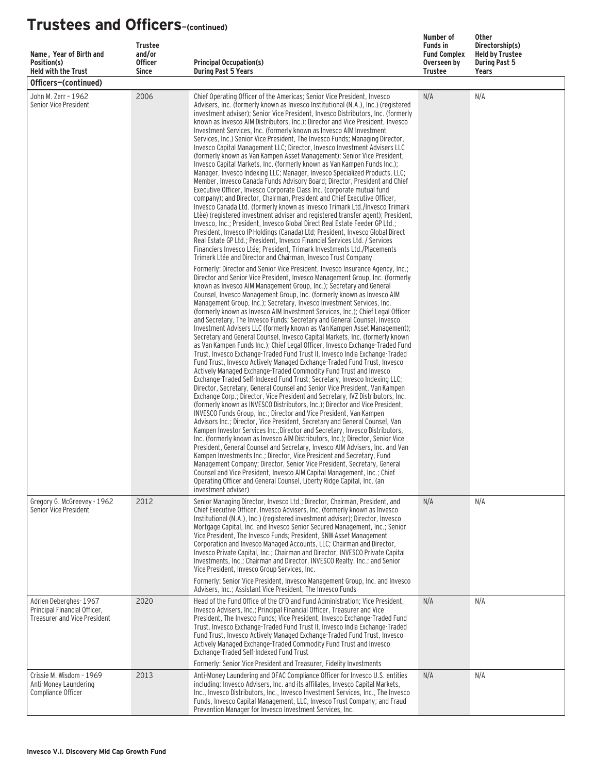| Name, Year of Birth and<br>Position(s)<br><b>Held with the Trust</b>                         | <b>Trustee</b><br>and/or<br><b>Officer</b><br><b>Since</b> | <b>Principal Occupation(s)</b><br><b>During Past 5 Years</b>                                                                                                                                                                                                                                                                                                                                                                                                                                                                                                                                                                                                                                                                                                                                                                                                                                                                                                                                                                                                                                                                                                                                                                                                                                                                                                                                                                                                                                                                                                                                                                                                                                                                                                                                                                                                                                                                                                                                                                                                                                          | Number of<br><b>Funds in</b><br><b>Fund Complex</b><br>Overseen by<br><b>Trustee</b> | <b>Other</b><br>Directorship(s)<br><b>Held by Trustee</b><br><b>During Past 5</b><br>Years |
|----------------------------------------------------------------------------------------------|------------------------------------------------------------|-------------------------------------------------------------------------------------------------------------------------------------------------------------------------------------------------------------------------------------------------------------------------------------------------------------------------------------------------------------------------------------------------------------------------------------------------------------------------------------------------------------------------------------------------------------------------------------------------------------------------------------------------------------------------------------------------------------------------------------------------------------------------------------------------------------------------------------------------------------------------------------------------------------------------------------------------------------------------------------------------------------------------------------------------------------------------------------------------------------------------------------------------------------------------------------------------------------------------------------------------------------------------------------------------------------------------------------------------------------------------------------------------------------------------------------------------------------------------------------------------------------------------------------------------------------------------------------------------------------------------------------------------------------------------------------------------------------------------------------------------------------------------------------------------------------------------------------------------------------------------------------------------------------------------------------------------------------------------------------------------------------------------------------------------------------------------------------------------------|--------------------------------------------------------------------------------------|--------------------------------------------------------------------------------------------|
| Officers-(continued)                                                                         |                                                            |                                                                                                                                                                                                                                                                                                                                                                                                                                                                                                                                                                                                                                                                                                                                                                                                                                                                                                                                                                                                                                                                                                                                                                                                                                                                                                                                                                                                                                                                                                                                                                                                                                                                                                                                                                                                                                                                                                                                                                                                                                                                                                       |                                                                                      |                                                                                            |
| John M. Zerr - 1962<br>Senior Vice President                                                 | 2006                                                       | Chief Operating Officer of the Americas; Senior Vice President, Invesco<br>Advisers, Inc. (formerly known as Invesco Institutional (N.A.), Inc.) (registered<br>investment adviser); Senior Vice President, Invesco Distributors, Inc. (formerly<br>known as Invesco AIM Distributors, Inc.); Director and Vice President, Invesco<br>Investment Services, Inc. (formerly known as Invesco AIM Investment<br>Services, Inc.) Senior Vice President, The Invesco Funds; Managing Director,<br>Invesco Capital Management LLC; Director, Invesco Investment Advisers LLC<br>(formerly known as Van Kampen Asset Management); Senior Vice President,<br>Invesco Capital Markets, Inc. (formerly known as Van Kampen Funds Inc.);<br>Manager, Invesco Indexing LLC; Manager, Invesco Specialized Products, LLC;<br>Member, Invesco Canada Funds Advisory Board; Director, President and Chief<br>Executive Officer, Invesco Corporate Class Inc. (corporate mutual fund<br>company); and Director, Chairman, President and Chief Executive Officer,<br>Invesco Canada Ltd. (formerly known as Invesco Trimark Ltd./Invesco Trimark<br>Ltèe) (registered investment adviser and registered transfer agent); President,<br>Invesco, Inc.; President, Invesco Global Direct Real Estate Feeder GP Ltd.;<br>President, Invesco IP Holdings (Canada) Ltd: President, Invesco Global Direct<br>Real Estate GP Ltd.; President, Invesco Financial Services Ltd. / Services<br>Financiers Invesco Ltée: President, Trimark Investments Ltd./Placements<br>Trimark Ltée and Director and Chairman, Invesco Trust Company                                                                                                                                                                                                                                                                                                                                                                                                                                                                                           | N/A                                                                                  | N/A                                                                                        |
|                                                                                              |                                                            | Formerly: Director and Senior Vice President, Invesco Insurance Agency, Inc.;<br>Director and Senior Vice President, Invesco Management Group, Inc. (formerly<br>known as Invesco AIM Management Group, Inc.); Secretary and General<br>Counsel, Invesco Management Group, Inc. (formerly known as Invesco AIM<br>Management Group, Inc.); Secretary, Invesco Investment Services, Inc.<br>(formerly known as Invesco AIM Investment Services, Inc.); Chief Legal Officer<br>and Secretary, The Invesco Funds; Secretary and General Counsel, Invesco<br>Investment Advisers LLC (formerly known as Van Kampen Asset Management);<br>Secretary and General Counsel, Invesco Capital Markets, Inc. (formerly known<br>as Van Kampen Funds Inc.); Chief Legal Officer, Invesco Exchange-Traded Fund<br>Trust, Invesco Exchange-Traded Fund Trust II, Invesco India Exchange-Traded<br>Fund Trust, Invesco Actively Managed Exchange-Traded Fund Trust, Invesco<br>Actively Managed Exchange-Traded Commodity Fund Trust and Invesco<br>Exchange-Traded Self-Indexed Fund Trust; Secretary, Invesco Indexing LLC;<br>Director, Secretary, General Counsel and Senior Vice President, Van Kampen<br>Exchange Corp.; Director, Vice President and Secretary, IVZ Distributors, Inc.<br>(formerly known as INVESCO Distributors, Inc.); Director and Vice President,<br>INVESCO Funds Group, Inc.; Director and Vice President, Van Kampen<br>Advisors Inc.; Director, Vice President, Secretary and General Counsel, Van<br>Kampen Investor Services Inc.: Director and Secretary, Invesco Distributors.<br>Inc. (formerly known as Invesco AIM Distributors, Inc.); Director, Senior Vice<br>President, General Counsel and Secretary, Invesco AIM Advisers, Inc. and Van<br>Kampen Investments Inc.; Director, Vice President and Secretary, Fund<br>Management Company; Director, Senior Vice President, Secretary, General<br>Counsel and Vice President, Invesco AIM Capital Management, Inc.; Chief<br>Operating Officer and General Counsel, Liberty Ridge Capital, Inc. (an<br>investment adviser) |                                                                                      |                                                                                            |
| Gregory G. McGreevey - 1962<br>Senior Vice President                                         | 2012                                                       | Senior Managing Director, Invesco Ltd.; Director, Chairman, President, and<br>Chief Executive Officer, Invesco Advisers, Inc. (formerly known as Invesco<br>Institutional (N.A.), Inc.) (registered investment adviser); Director, Invesco<br>Mortgage Capital, Inc. and Invesco Senior Secured Management, Inc.; Senior<br>Vice President, The Invesco Funds; President, SNW Asset Management<br>Corporation and Invesco Managed Accounts, LLC; Chairman and Director,<br>Invesco Private Capital, Inc.; Chairman and Director, INVESCO Private Capital<br>Investments, Inc.; Chairman and Director, INVESCO Realty, Inc.; and Senior<br>Vice President, Invesco Group Services, Inc.<br>Formerly: Senior Vice President, Invesco Management Group, Inc. and Invesco                                                                                                                                                                                                                                                                                                                                                                                                                                                                                                                                                                                                                                                                                                                                                                                                                                                                                                                                                                                                                                                                                                                                                                                                                                                                                                                                 | N/A                                                                                  | N/A                                                                                        |
| Adrien Deberghes-1967<br>Principal Financial Officer,<br><b>Treasurer and Vice President</b> | 2020                                                       | Advisers, Inc.; Assistant Vice President, The Invesco Funds<br>Head of the Fund Office of the CFO and Fund Administration; Vice President,<br>Invesco Advisers, Inc.; Principal Financial Officer, Treasurer and Vice<br>President, The Invesco Funds; Vice President, Invesco Exchange-Traded Fund<br>Trust, Invesco Exchange-Traded Fund Trust II, Invesco India Exchange-Traded<br>Fund Trust, Invesco Actively Managed Exchange-Traded Fund Trust, Invesco<br>Actively Managed Exchange-Traded Commodity Fund Trust and Invesco<br>Exchange-Traded Self-Indexed Fund Trust<br>Formerly: Senior Vice President and Treasurer, Fidelity Investments                                                                                                                                                                                                                                                                                                                                                                                                                                                                                                                                                                                                                                                                                                                                                                                                                                                                                                                                                                                                                                                                                                                                                                                                                                                                                                                                                                                                                                                 | N/A                                                                                  | N/A                                                                                        |
| Crissie M. Wisdom - 1969<br>Anti-Money Laundering<br>Compliance Officer                      | 2013                                                       | Anti-Money Laundering and OFAC Compliance Officer for Invesco U.S. entities<br>including: Invesco Advisers, Inc. and its affiliates, Invesco Capital Markets,<br>Inc., Invesco Distributors, Inc., Invesco Investment Services, Inc., The Invesco<br>Funds, Invesco Capital Management, LLC, Invesco Trust Company; and Fraud<br>Prevention Manager for Invesco Investment Services, Inc.                                                                                                                                                                                                                                                                                                                                                                                                                                                                                                                                                                                                                                                                                                                                                                                                                                                                                                                                                                                                                                                                                                                                                                                                                                                                                                                                                                                                                                                                                                                                                                                                                                                                                                             | N/A                                                                                  | N/A                                                                                        |